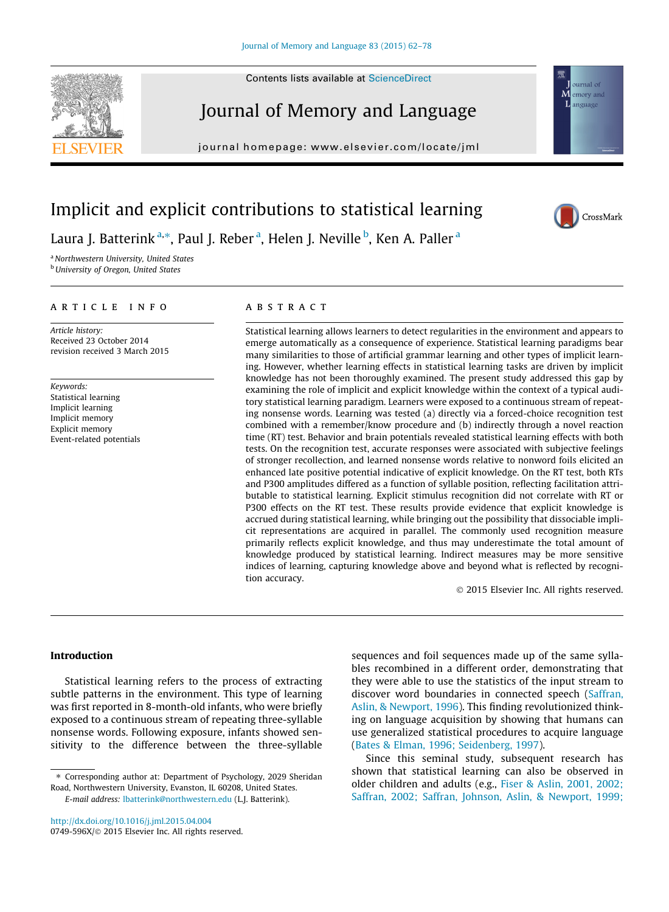Contents lists available at [ScienceDirect](http://www.sciencedirect.com/science/journal/0749596X)



# Journal of Memory and Language

journal homepage: [www.elsevier.com/locate/jml](http://www.elsevier.com/locate/jml)



# Implicit and explicit contributions to statistical learning Laura J. Batterink<sup>a,\*</sup>, Paul J. Reber<sup>a</sup>, Helen J. Neville <sup>b</sup>, Ken A. Paller <sup>a</sup>



<sup>a</sup> Northwestern University, United States **b** University of Oregon, United States

#### article info

Article history: Received 23 October 2014 revision received 3 March 2015

Keywords: Statistical learning Implicit learning Implicit memory Explicit memory Event-related potentials

# **ABSTRACT**

Statistical learning allows learners to detect regularities in the environment and appears to emerge automatically as a consequence of experience. Statistical learning paradigms bear many similarities to those of artificial grammar learning and other types of implicit learning. However, whether learning effects in statistical learning tasks are driven by implicit knowledge has not been thoroughly examined. The present study addressed this gap by examining the role of implicit and explicit knowledge within the context of a typical auditory statistical learning paradigm. Learners were exposed to a continuous stream of repeating nonsense words. Learning was tested (a) directly via a forced-choice recognition test combined with a remember/know procedure and (b) indirectly through a novel reaction time (RT) test. Behavior and brain potentials revealed statistical learning effects with both tests. On the recognition test, accurate responses were associated with subjective feelings of stronger recollection, and learned nonsense words relative to nonword foils elicited an enhanced late positive potential indicative of explicit knowledge. On the RT test, both RTs and P300 amplitudes differed as a function of syllable position, reflecting facilitation attributable to statistical learning. Explicit stimulus recognition did not correlate with RT or P300 effects on the RT test. These results provide evidence that explicit knowledge is accrued during statistical learning, while bringing out the possibility that dissociable implicit representations are acquired in parallel. The commonly used recognition measure primarily reflects explicit knowledge, and thus may underestimate the total amount of knowledge produced by statistical learning. Indirect measures may be more sensitive indices of learning, capturing knowledge above and beyond what is reflected by recognition accuracy.

- 2015 Elsevier Inc. All rights reserved.

# Introduction

Statistical learning refers to the process of extracting subtle patterns in the environment. This type of learning was first reported in 8-month-old infants, who were briefly exposed to a continuous stream of repeating three-syllable nonsense words. Following exposure, infants showed sensitivity to the difference between the three-syllable

<http://dx.doi.org/10.1016/j.jml.2015.04.004> 0749-596X/© 2015 Elsevier Inc. All rights reserved.

sequences and foil sequences made up of the same syllables recombined in a different order, demonstrating that they were able to use the statistics of the input stream to discover word boundaries in connected speech [\(Saffran,](#page-15-0) [Aslin, & Newport, 1996](#page-15-0)). This finding revolutionized thinking on language acquisition by showing that humans can use generalized statistical procedures to acquire language [\(Bates & Elman, 1996; Seidenberg, 1997\)](#page-14-0).

Since this seminal study, subsequent research has shown that statistical learning can also be observed in older children and adults (e.g., [Fiser & Aslin, 2001, 2002;](#page-14-0) [Saffran, 2002; Saffran, Johnson, Aslin, & Newport, 1999;](#page-14-0)

<sup>⇑</sup> Corresponding author at: Department of Psychology, 2029 Sheridan Road, Northwestern University, Evanston, IL 60208, United States. E-mail address: [lbatterink@northwestern.edu](mailto:lbatterink@northwestern.edu) (L.J. Batterink).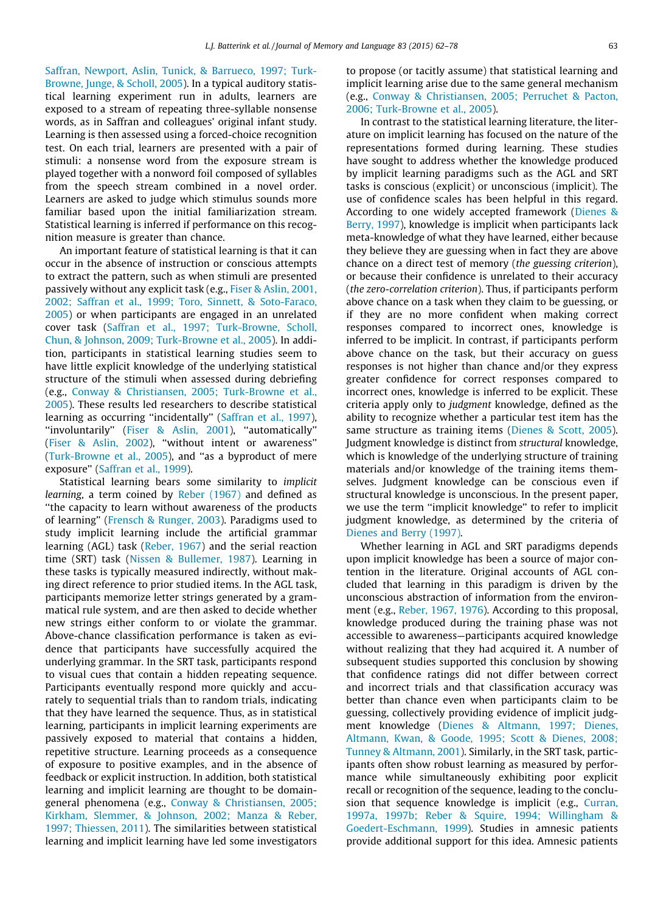[Saffran, Newport, Aslin, Tunick, & Barrueco, 1997; Turk-](#page-14-0)[Browne, Junge, & Scholl, 2005\)](#page-14-0). In a typical auditory statistical learning experiment run in adults, learners are exposed to a stream of repeating three-syllable nonsense words, as in Saffran and colleagues' original infant study. Learning is then assessed using a forced-choice recognition test. On each trial, learners are presented with a pair of stimuli: a nonsense word from the exposure stream is played together with a nonword foil composed of syllables from the speech stream combined in a novel order. Learners are asked to judge which stimulus sounds more familiar based upon the initial familiarization stream. Statistical learning is inferred if performance on this recognition measure is greater than chance.

An important feature of statistical learning is that it can occur in the absence of instruction or conscious attempts to extract the pattern, such as when stimuli are presented passively without any explicit task (e.g., [Fiser & Aslin, 2001,](#page-14-0) [2002; Saffran et al., 1999; Toro, Sinnett, & Soto-Faraco,](#page-14-0) [2005\)](#page-14-0) or when participants are engaged in an unrelated cover task [\(Saffran et al., 1997; Turk-Browne, Scholl,](#page-15-0) [Chun, & Johnson, 2009; Turk-Browne et al., 2005](#page-15-0)). In addition, participants in statistical learning studies seem to have little explicit knowledge of the underlying statistical structure of the stimuli when assessed during debriefing (e.g., [Conway & Christiansen, 2005; Turk-Browne et al.,](#page-14-0) [2005\)](#page-14-0). These results led researchers to describe statistical learning as occurring ''incidentally'' [\(Saffran et al., 1997](#page-15-0)), ''involuntarily'' [\(Fiser & Aslin, 2001\)](#page-14-0), ''automatically'' ([Fiser & Aslin, 2002](#page-14-0)), ''without intent or awareness'' ([Turk-Browne et al., 2005\)](#page-15-0), and ''as a byproduct of mere exposure'' ([Saffran et al., 1999](#page-15-0)).

Statistical learning bears some similarity to implicit learning, a term coined by [Reber \(1967\)](#page-15-0) and defined as ''the capacity to learn without awareness of the products of learning'' ([Frensch & Runger, 2003](#page-15-0)). Paradigms used to study implicit learning include the artificial grammar learning (AGL) task ([Reber, 1967\)](#page-15-0) and the serial reaction time (SRT) task ([Nissen & Bullemer, 1987](#page-15-0)). Learning in these tasks is typically measured indirectly, without making direct reference to prior studied items. In the AGL task, participants memorize letter strings generated by a grammatical rule system, and are then asked to decide whether new strings either conform to or violate the grammar. Above-chance classification performance is taken as evidence that participants have successfully acquired the underlying grammar. In the SRT task, participants respond to visual cues that contain a hidden repeating sequence. Participants eventually respond more quickly and accurately to sequential trials than to random trials, indicating that they have learned the sequence. Thus, as in statistical learning, participants in implicit learning experiments are passively exposed to material that contains a hidden, repetitive structure. Learning proceeds as a consequence of exposure to positive examples, and in the absence of feedback or explicit instruction. In addition, both statistical learning and implicit learning are thought to be domaingeneral phenomena (e.g., [Conway & Christiansen, 2005;](#page-14-0) [Kirkham, Slemmer, & Johnson, 2002; Manza & Reber,](#page-14-0) [1997; Thiessen, 2011\)](#page-14-0). The similarities between statistical learning and implicit learning have led some investigators to propose (or tacitly assume) that statistical learning and implicit learning arise due to the same general mechanism (e.g., [Conway & Christiansen, 2005; Perruchet & Pacton,](#page-14-0) [2006; Turk-Browne et al., 2005\)](#page-14-0).

In contrast to the statistical learning literature, the literature on implicit learning has focused on the nature of the representations formed during learning. These studies have sought to address whether the knowledge produced by implicit learning paradigms such as the AGL and SRT tasks is conscious (explicit) or unconscious (implicit). The use of confidence scales has been helpful in this regard. According to one widely accepted framework [\(Dienes &](#page-14-0) [Berry, 1997\)](#page-14-0), knowledge is implicit when participants lack meta-knowledge of what they have learned, either because they believe they are guessing when in fact they are above chance on a direct test of memory (the guessing criterion), or because their confidence is unrelated to their accuracy (the zero-correlation criterion). Thus, if participants perform above chance on a task when they claim to be guessing, or if they are no more confident when making correct responses compared to incorrect ones, knowledge is inferred to be implicit. In contrast, if participants perform above chance on the task, but their accuracy on guess responses is not higher than chance and/or they express greater confidence for correct responses compared to incorrect ones, knowledge is inferred to be explicit. These criteria apply only to judgment knowledge, defined as the ability to recognize whether a particular test item has the same structure as training items [\(Dienes & Scott, 2005](#page-14-0)). Judgment knowledge is distinct from structural knowledge, which is knowledge of the underlying structure of training materials and/or knowledge of the training items themselves. Judgment knowledge can be conscious even if structural knowledge is unconscious. In the present paper, we use the term ''implicit knowledge'' to refer to implicit judgment knowledge, as determined by the criteria of [Dienes and Berry \(1997\).](#page-14-0)

Whether learning in AGL and SRT paradigms depends upon implicit knowledge has been a source of major contention in the literature. Original accounts of AGL concluded that learning in this paradigm is driven by the unconscious abstraction of information from the environment (e.g., [Reber, 1967, 1976](#page-15-0)). According to this proposal, knowledge produced during the training phase was not accessible to awareness—participants acquired knowledge without realizing that they had acquired it. A number of subsequent studies supported this conclusion by showing that confidence ratings did not differ between correct and incorrect trials and that classification accuracy was better than chance even when participants claim to be guessing, collectively providing evidence of implicit judgment knowledge [\(Dienes & Altmann, 1997; Dienes,](#page-14-0) [Altmann, Kwan, & Goode, 1995; Scott & Dienes, 2008;](#page-14-0) [Tunney & Altmann, 2001\)](#page-14-0). Similarly, in the SRT task, participants often show robust learning as measured by performance while simultaneously exhibiting poor explicit recall or recognition of the sequence, leading to the conclusion that sequence knowledge is implicit (e.g., [Curran,](#page-14-0) [1997a, 1997b; Reber & Squire, 1994; Willingham &](#page-14-0) [Goedert-Eschmann, 1999](#page-14-0)). Studies in amnesic patients provide additional support for this idea. Amnesic patients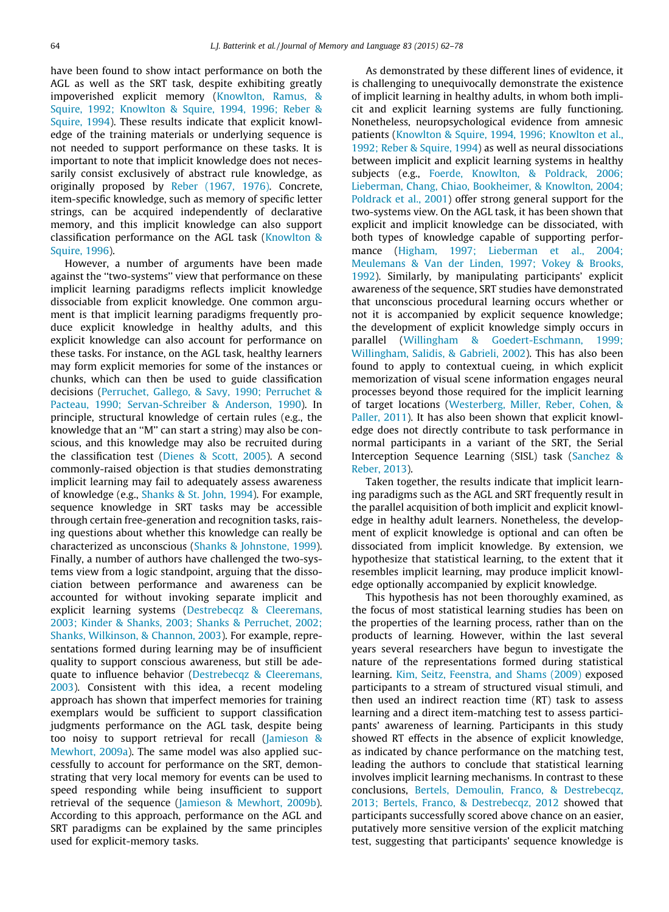have been found to show intact performance on both the AGL as well as the SRT task, despite exhibiting greatly impoverished explicit memory ([Knowlton, Ramus, &](#page-15-0) [Squire, 1992; Knowlton & Squire, 1994, 1996; Reber &](#page-15-0) [Squire, 1994\)](#page-15-0). These results indicate that explicit knowledge of the training materials or underlying sequence is not needed to support performance on these tasks. It is important to note that implicit knowledge does not necessarily consist exclusively of abstract rule knowledge, as originally proposed by [Reber \(1967, 1976\)](#page-15-0). Concrete, item-specific knowledge, such as memory of specific letter strings, can be acquired independently of declarative memory, and this implicit knowledge can also support classification performance on the AGL task [\(Knowlton &](#page-15-0) [Squire, 1996\)](#page-15-0).

However, a number of arguments have been made against the ''two-systems'' view that performance on these implicit learning paradigms reflects implicit knowledge dissociable from explicit knowledge. One common argument is that implicit learning paradigms frequently produce explicit knowledge in healthy adults, and this explicit knowledge can also account for performance on these tasks. For instance, on the AGL task, healthy learners may form explicit memories for some of the instances or chunks, which can then be used to guide classification decisions ([Perruchet, Gallego, & Savy, 1990; Perruchet &](#page-15-0) [Pacteau, 1990; Servan-Schreiber & Anderson, 1990](#page-15-0)). In principle, structural knowledge of certain rules (e.g., the knowledge that an ''M'' can start a string) may also be conscious, and this knowledge may also be recruited during the classification test ([Dienes & Scott, 2005\)](#page-14-0). A second commonly-raised objection is that studies demonstrating implicit learning may fail to adequately assess awareness of knowledge (e.g., [Shanks & St. John, 1994\)](#page-15-0). For example, sequence knowledge in SRT tasks may be accessible through certain free-generation and recognition tasks, raising questions about whether this knowledge can really be characterized as unconscious [\(Shanks & Johnstone, 1999](#page-15-0)). Finally, a number of authors have challenged the two-systems view from a logic standpoint, arguing that the dissociation between performance and awareness can be accounted for without invoking separate implicit and explicit learning systems [\(Destrebecqz & Cleeremans,](#page-14-0) [2003; Kinder & Shanks, 2003; Shanks & Perruchet, 2002;](#page-14-0) [Shanks, Wilkinson, & Channon, 2003](#page-14-0)). For example, representations formed during learning may be of insufficient quality to support conscious awareness, but still be adequate to influence behavior ([Destrebecqz & Cleeremans,](#page-14-0) [2003](#page-14-0)). Consistent with this idea, a recent modeling approach has shown that imperfect memories for training exemplars would be sufficient to support classification judgments performance on the AGL task, despite being too noisy to support retrieval for recall ([Jamieson &](#page-15-0) [Mewhort, 2009a](#page-15-0)). The same model was also applied successfully to account for performance on the SRT, demonstrating that very local memory for events can be used to speed responding while being insufficient to support retrieval of the sequence ([Jamieson & Mewhort, 2009b](#page-15-0)). According to this approach, performance on the AGL and SRT paradigms can be explained by the same principles used for explicit-memory tasks.

As demonstrated by these different lines of evidence, it is challenging to unequivocally demonstrate the existence of implicit learning in healthy adults, in whom both implicit and explicit learning systems are fully functioning. Nonetheless, neuropsychological evidence from amnesic patients ([Knowlton & Squire, 1994, 1996; Knowlton et al.,](#page-15-0) [1992; Reber & Squire, 1994\)](#page-15-0) as well as neural dissociations between implicit and explicit learning systems in healthy subjects (e.g., [Foerde, Knowlton, & Poldrack, 2006;](#page-14-0) [Lieberman, Chang, Chiao, Bookheimer, & Knowlton, 2004;](#page-14-0) [Poldrack et al., 2001\)](#page-14-0) offer strong general support for the two-systems view. On the AGL task, it has been shown that explicit and implicit knowledge can be dissociated, with both types of knowledge capable of supporting performance [\(Higham, 1997; Lieberman et al., 2004;](#page-15-0) [Meulemans & Van der Linden, 1997; Vokey & Brooks,](#page-15-0) [1992](#page-15-0)). Similarly, by manipulating participants' explicit awareness of the sequence, SRT studies have demonstrated that unconscious procedural learning occurs whether or not it is accompanied by explicit sequence knowledge; the development of explicit knowledge simply occurs in parallel ([Willingham & Goedert-Eschmann, 1999;](#page-16-0) [Willingham, Salidis, & Gabrieli, 2002\)](#page-16-0). This has also been found to apply to contextual cueing, in which explicit memorization of visual scene information engages neural processes beyond those required for the implicit learning of target locations ([Westerberg, Miller, Reber, Cohen, &](#page-16-0) [Paller, 2011](#page-16-0)). It has also been shown that explicit knowledge does not directly contribute to task performance in normal participants in a variant of the SRT, the Serial Interception Sequence Learning (SISL) task ([Sanchez &](#page-15-0) [Reber, 2013](#page-15-0)).

Taken together, the results indicate that implicit learning paradigms such as the AGL and SRT frequently result in the parallel acquisition of both implicit and explicit knowledge in healthy adult learners. Nonetheless, the development of explicit knowledge is optional and can often be dissociated from implicit knowledge. By extension, we hypothesize that statistical learning, to the extent that it resembles implicit learning, may produce implicit knowledge optionally accompanied by explicit knowledge.

This hypothesis has not been thoroughly examined, as the focus of most statistical learning studies has been on the properties of the learning process, rather than on the products of learning. However, within the last several years several researchers have begun to investigate the nature of the representations formed during statistical learning. [Kim, Seitz, Feenstra, and Shams \(2009\)](#page-15-0) exposed participants to a stream of structured visual stimuli, and then used an indirect reaction time (RT) task to assess learning and a direct item-matching test to assess participants' awareness of learning. Participants in this study showed RT effects in the absence of explicit knowledge, as indicated by chance performance on the matching test, leading the authors to conclude that statistical learning involves implicit learning mechanisms. In contrast to these conclusions, [Bertels, Demoulin, Franco, & Destrebecqz,](#page-14-0) [2013; Bertels, Franco, & Destrebecqz, 2012](#page-14-0) showed that participants successfully scored above chance on an easier, putatively more sensitive version of the explicit matching test, suggesting that participants' sequence knowledge is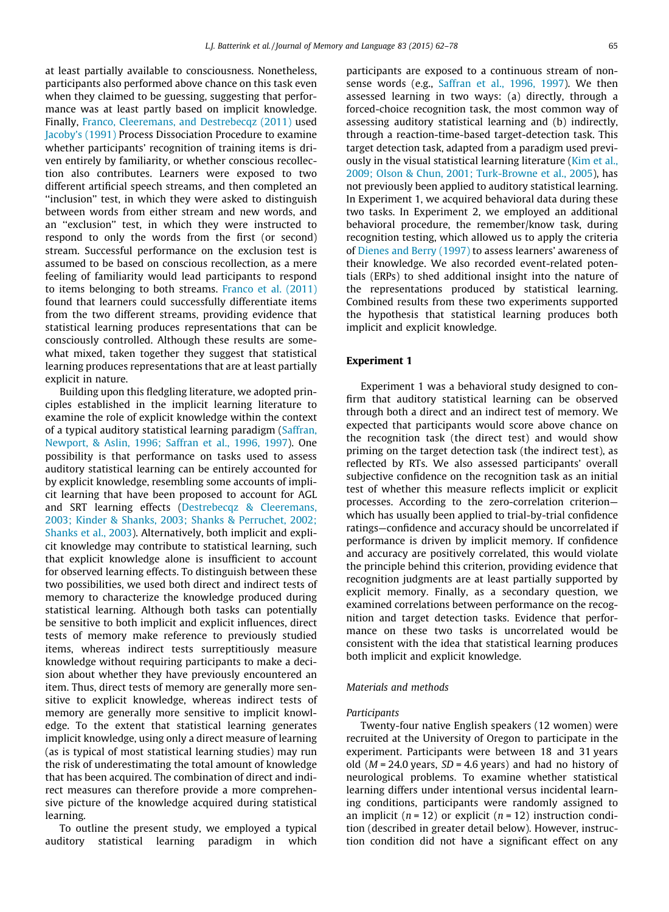at least partially available to consciousness. Nonetheless, participants also performed above chance on this task even when they claimed to be guessing, suggesting that performance was at least partly based on implicit knowledge. Finally, [Franco, Cleeremans, and Destrebecqz \(2011\)](#page-14-0) used [Jacoby's \(1991\)](#page-15-0) Process Dissociation Procedure to examine whether participants' recognition of training items is driven entirely by familiarity, or whether conscious recollection also contributes. Learners were exposed to two different artificial speech streams, and then completed an "inclusion" test, in which they were asked to distinguish between words from either stream and new words, and an ''exclusion'' test, in which they were instructed to respond to only the words from the first (or second) stream. Successful performance on the exclusion test is assumed to be based on conscious recollection, as a mere feeling of familiarity would lead participants to respond to items belonging to both streams. [Franco et al. \(2011\)](#page-14-0) found that learners could successfully differentiate items from the two different streams, providing evidence that statistical learning produces representations that can be consciously controlled. Although these results are somewhat mixed, taken together they suggest that statistical learning produces representations that are at least partially explicit in nature.

Building upon this fledgling literature, we adopted principles established in the implicit learning literature to examine the role of explicit knowledge within the context of a typical auditory statistical learning paradigm ([Saffran,](#page-15-0) [Newport, & Aslin, 1996; Saffran et al., 1996, 1997](#page-15-0)). One possibility is that performance on tasks used to assess auditory statistical learning can be entirely accounted for by explicit knowledge, resembling some accounts of implicit learning that have been proposed to account for AGL and SRT learning effects [\(Destrebecqz & Cleeremans,](#page-14-0) [2003; Kinder & Shanks, 2003; Shanks & Perruchet, 2002;](#page-14-0) [Shanks et al., 2003\)](#page-14-0). Alternatively, both implicit and explicit knowledge may contribute to statistical learning, such that explicit knowledge alone is insufficient to account for observed learning effects. To distinguish between these two possibilities, we used both direct and indirect tests of memory to characterize the knowledge produced during statistical learning. Although both tasks can potentially be sensitive to both implicit and explicit influences, direct tests of memory make reference to previously studied items, whereas indirect tests surreptitiously measure knowledge without requiring participants to make a decision about whether they have previously encountered an item. Thus, direct tests of memory are generally more sensitive to explicit knowledge, whereas indirect tests of memory are generally more sensitive to implicit knowledge. To the extent that statistical learning generates implicit knowledge, using only a direct measure of learning (as is typical of most statistical learning studies) may run the risk of underestimating the total amount of knowledge that has been acquired. The combination of direct and indirect measures can therefore provide a more comprehensive picture of the knowledge acquired during statistical learning.

To outline the present study, we employed a typical auditory statistical learning paradigm in which

participants are exposed to a continuous stream of nonsense words (e.g., [Saffran et al., 1996, 1997](#page-15-0)). We then assessed learning in two ways: (a) directly, through a forced-choice recognition task, the most common way of assessing auditory statistical learning and (b) indirectly, through a reaction-time-based target-detection task. This target detection task, adapted from a paradigm used previously in the visual statistical learning literature [\(Kim et al.,](#page-15-0) [2009; Olson & Chun, 2001; Turk-Browne et al., 2005\)](#page-15-0), has not previously been applied to auditory statistical learning. In Experiment 1, we acquired behavioral data during these two tasks. In Experiment 2, we employed an additional behavioral procedure, the remember/know task, during recognition testing, which allowed us to apply the criteria of [Dienes and Berry \(1997\)](#page-14-0) to assess learners' awareness of their knowledge. We also recorded event-related potentials (ERPs) to shed additional insight into the nature of the representations produced by statistical learning. Combined results from these two experiments supported the hypothesis that statistical learning produces both implicit and explicit knowledge.

# Experiment 1

Experiment 1 was a behavioral study designed to confirm that auditory statistical learning can be observed through both a direct and an indirect test of memory. We expected that participants would score above chance on the recognition task (the direct test) and would show priming on the target detection task (the indirect test), as reflected by RTs. We also assessed participants' overall subjective confidence on the recognition task as an initial test of whether this measure reflects implicit or explicit processes. According to the zero-correlation criterion which has usually been applied to trial-by-trial confidence ratings—confidence and accuracy should be uncorrelated if performance is driven by implicit memory. If confidence and accuracy are positively correlated, this would violate the principle behind this criterion, providing evidence that recognition judgments are at least partially supported by explicit memory. Finally, as a secondary question, we examined correlations between performance on the recognition and target detection tasks. Evidence that performance on these two tasks is uncorrelated would be consistent with the idea that statistical learning produces both implicit and explicit knowledge.

#### Materials and methods

#### Participants

Twenty-four native English speakers (12 women) were recruited at the University of Oregon to participate in the experiment. Participants were between 18 and 31 years old ( $M = 24.0$  years,  $SD = 4.6$  years) and had no history of neurological problems. To examine whether statistical learning differs under intentional versus incidental learning conditions, participants were randomly assigned to an implicit ( $n = 12$ ) or explicit ( $n = 12$ ) instruction condition (described in greater detail below). However, instruction condition did not have a significant effect on any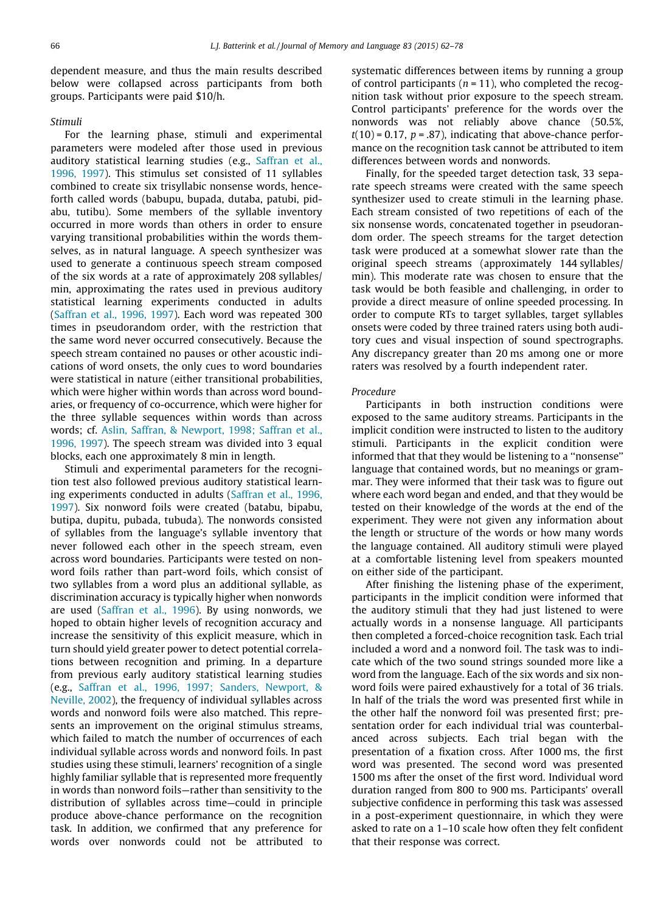dependent measure, and thus the main results described below were collapsed across participants from both groups. Participants were paid \$10/h.

#### Stimuli

For the learning phase, stimuli and experimental parameters were modeled after those used in previous auditory statistical learning studies (e.g., [Saffran et al.,](#page-15-0) [1996, 1997](#page-15-0)). This stimulus set consisted of 11 syllables combined to create six trisyllabic nonsense words, henceforth called words (babupu, bupada, dutaba, patubi, pidabu, tutibu). Some members of the syllable inventory occurred in more words than others in order to ensure varying transitional probabilities within the words themselves, as in natural language. A speech synthesizer was used to generate a continuous speech stream composed of the six words at a rate of approximately 208 syllables/ min, approximating the rates used in previous auditory statistical learning experiments conducted in adults [\(Saffran et al., 1996, 1997\)](#page-15-0). Each word was repeated 300 times in pseudorandom order, with the restriction that the same word never occurred consecutively. Because the speech stream contained no pauses or other acoustic indications of word onsets, the only cues to word boundaries were statistical in nature (either transitional probabilities, which were higher within words than across word boundaries, or frequency of co-occurrence, which were higher for the three syllable sequences within words than across words; cf. [Aslin, Saffran, & Newport, 1998; Saffran et al.,](#page-14-0) [1996, 1997](#page-14-0)). The speech stream was divided into 3 equal blocks, each one approximately 8 min in length.

Stimuli and experimental parameters for the recognition test also followed previous auditory statistical learning experiments conducted in adults [\(Saffran et al., 1996,](#page-15-0) [1997](#page-15-0)). Six nonword foils were created (batabu, bipabu, butipa, dupitu, pubada, tubuda). The nonwords consisted of syllables from the language's syllable inventory that never followed each other in the speech stream, even across word boundaries. Participants were tested on nonword foils rather than part-word foils, which consist of two syllables from a word plus an additional syllable, as discrimination accuracy is typically higher when nonwords are used [\(Saffran et al., 1996](#page-15-0)). By using nonwords, we hoped to obtain higher levels of recognition accuracy and increase the sensitivity of this explicit measure, which in turn should yield greater power to detect potential correlations between recognition and priming. In a departure from previous early auditory statistical learning studies (e.g., [Saffran et al., 1996, 1997; Sanders, Newport, &](#page-15-0) [Neville, 2002\)](#page-15-0), the frequency of individual syllables across words and nonword foils were also matched. This represents an improvement on the original stimulus streams, which failed to match the number of occurrences of each individual syllable across words and nonword foils. In past studies using these stimuli, learners' recognition of a single highly familiar syllable that is represented more frequently in words than nonword foils—rather than sensitivity to the distribution of syllables across time—could in principle produce above-chance performance on the recognition task. In addition, we confirmed that any preference for words over nonwords could not be attributed to

systematic differences between items by running a group of control participants ( $n = 11$ ), who completed the recognition task without prior exposure to the speech stream. Control participants' preference for the words over the nonwords was not reliably above chance (50.5%,  $t(10) = 0.17$ ,  $p = .87$ ), indicating that above-chance performance on the recognition task cannot be attributed to item differences between words and nonwords.

Finally, for the speeded target detection task, 33 separate speech streams were created with the same speech synthesizer used to create stimuli in the learning phase. Each stream consisted of two repetitions of each of the six nonsense words, concatenated together in pseudorandom order. The speech streams for the target detection task were produced at a somewhat slower rate than the original speech streams (approximately 144 syllables/ min). This moderate rate was chosen to ensure that the task would be both feasible and challenging, in order to provide a direct measure of online speeded processing. In order to compute RTs to target syllables, target syllables onsets were coded by three trained raters using both auditory cues and visual inspection of sound spectrographs. Any discrepancy greater than 20 ms among one or more raters was resolved by a fourth independent rater.

#### Procedure

Participants in both instruction conditions were exposed to the same auditory streams. Participants in the implicit condition were instructed to listen to the auditory stimuli. Participants in the explicit condition were informed that that they would be listening to a ''nonsense'' language that contained words, but no meanings or grammar. They were informed that their task was to figure out where each word began and ended, and that they would be tested on their knowledge of the words at the end of the experiment. They were not given any information about the length or structure of the words or how many words the language contained. All auditory stimuli were played at a comfortable listening level from speakers mounted on either side of the participant.

After finishing the listening phase of the experiment, participants in the implicit condition were informed that the auditory stimuli that they had just listened to were actually words in a nonsense language. All participants then completed a forced-choice recognition task. Each trial included a word and a nonword foil. The task was to indicate which of the two sound strings sounded more like a word from the language. Each of the six words and six nonword foils were paired exhaustively for a total of 36 trials. In half of the trials the word was presented first while in the other half the nonword foil was presented first; presentation order for each individual trial was counterbalanced across subjects. Each trial began with the presentation of a fixation cross. After 1000 ms, the first word was presented. The second word was presented 1500 ms after the onset of the first word. Individual word duration ranged from 800 to 900 ms. Participants' overall subjective confidence in performing this task was assessed in a post-experiment questionnaire, in which they were asked to rate on a 1–10 scale how often they felt confident that their response was correct.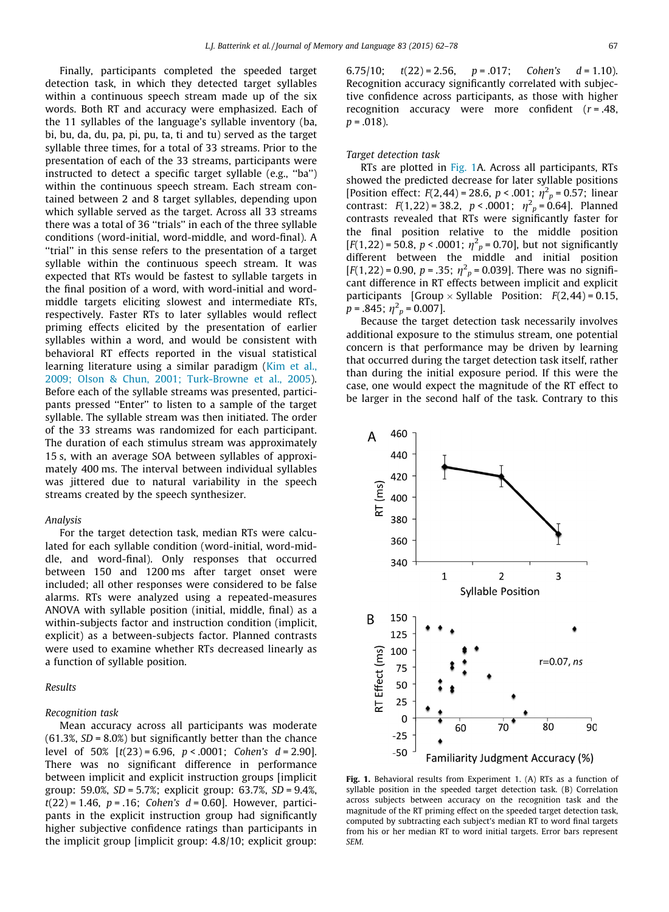<span id="page-5-0"></span>Finally, participants completed the speeded target detection task, in which they detected target syllables within a continuous speech stream made up of the six words. Both RT and accuracy were emphasized. Each of the 11 syllables of the language's syllable inventory (ba, bi, bu, da, du, pa, pi, pu, ta, ti and tu) served as the target syllable three times, for a total of 33 streams. Prior to the presentation of each of the 33 streams, participants were instructed to detect a specific target syllable (e.g., ''ba'') within the continuous speech stream. Each stream contained between 2 and 8 target syllables, depending upon which syllable served as the target. Across all 33 streams there was a total of 36 ''trials'' in each of the three syllable conditions (word-initial, word-middle, and word-final). A "trial" in this sense refers to the presentation of a target syllable within the continuous speech stream. It was expected that RTs would be fastest to syllable targets in the final position of a word, with word-initial and wordmiddle targets eliciting slowest and intermediate RTs, respectively. Faster RTs to later syllables would reflect priming effects elicited by the presentation of earlier syllables within a word, and would be consistent with behavioral RT effects reported in the visual statistical learning literature using a similar paradigm ([Kim et al.,](#page-15-0) [2009; Olson & Chun, 2001; Turk-Browne et al., 2005](#page-15-0)). Before each of the syllable streams was presented, participants pressed ''Enter'' to listen to a sample of the target syllable. The syllable stream was then initiated. The order of the 33 streams was randomized for each participant. The duration of each stimulus stream was approximately 15 s, with an average SOA between syllables of approximately 400 ms. The interval between individual syllables was jittered due to natural variability in the speech streams created by the speech synthesizer.

# Analysis

For the target detection task, median RTs were calculated for each syllable condition (word-initial, word-middle, and word-final). Only responses that occurred between 150 and 1200 ms after target onset were included; all other responses were considered to be false alarms. RTs were analyzed using a repeated-measures ANOVA with syllable position (initial, middle, final) as a within-subjects factor and instruction condition (implicit, explicit) as a between-subjects factor. Planned contrasts were used to examine whether RTs decreased linearly as a function of syllable position.

#### Results

#### Recognition task

Mean accuracy across all participants was moderate  $(61.3\%$ , SD = 8.0%) but significantly better than the chance level of 50%  $[t(23) = 6.96, p < .0001;$  Cohen's  $d = 2.90$ . There was no significant difference in performance between implicit and explicit instruction groups [implicit group: 59.0%,  $SD = 5.7\%$ ; explicit group: 63.7%,  $SD = 9.4\%$ ,  $t(22) = 1.46$ ,  $p = .16$ ; Cohen's  $d = 0.60$ ]. However, participants in the explicit instruction group had significantly higher subjective confidence ratings than participants in the implicit group [implicit group: 4.8/10; explicit group:

6.75/10;  $t(22) = 2.56$ ,  $p = .017$ ; Cohen's  $d = 1.10$ ). Recognition accuracy significantly correlated with subjective confidence across participants, as those with higher recognition accuracy were more confident  $(r = .48, )$  $p = .018$ ).

# Target detection task

RTs are plotted in Fig. 1A. Across all participants, RTs showed the predicted decrease for later syllable positions [Position effect:  $F(2,44) = 28.6$ ,  $p < .001$ ;  $\eta^2_p = 0.57$ ; linear contrast:  $F(1,22) = 38.2$ ,  $p < .0001$ ;  $\eta^2 p = 0.64$ ]. Planned contrasts revealed that RTs were significantly faster for the final position relative to the middle position  $[F(1,22) = 50.8, p < .0001; \eta^2_p = 0.70]$ , but not significantly different between the middle and initial position  $[F(1,22) = 0.90, p = .35; \eta^2_p = 0.039]$ . There was no significant difference in RT effects between implicit and explicit participants [Group  $\times$  Syllable Position:  $F(2,44)$  = 0.15,  $p = .845; \; \eta^2{}_p = 0.007$ ].

Because the target detection task necessarily involves additional exposure to the stimulus stream, one potential concern is that performance may be driven by learning that occurred during the target detection task itself, rather than during the initial exposure period. If this were the case, one would expect the magnitude of the RT effect to be larger in the second half of the task. Contrary to this



Fig. 1. Behavioral results from Experiment 1. (A) RTs as a function of syllable position in the speeded target detection task. (B) Correlation across subjects between accuracy on the recognition task and the magnitude of the RT priming effect on the speeded target detection task, computed by subtracting each subject's median RT to word final targets from his or her median RT to word initial targets. Error bars represent SEM.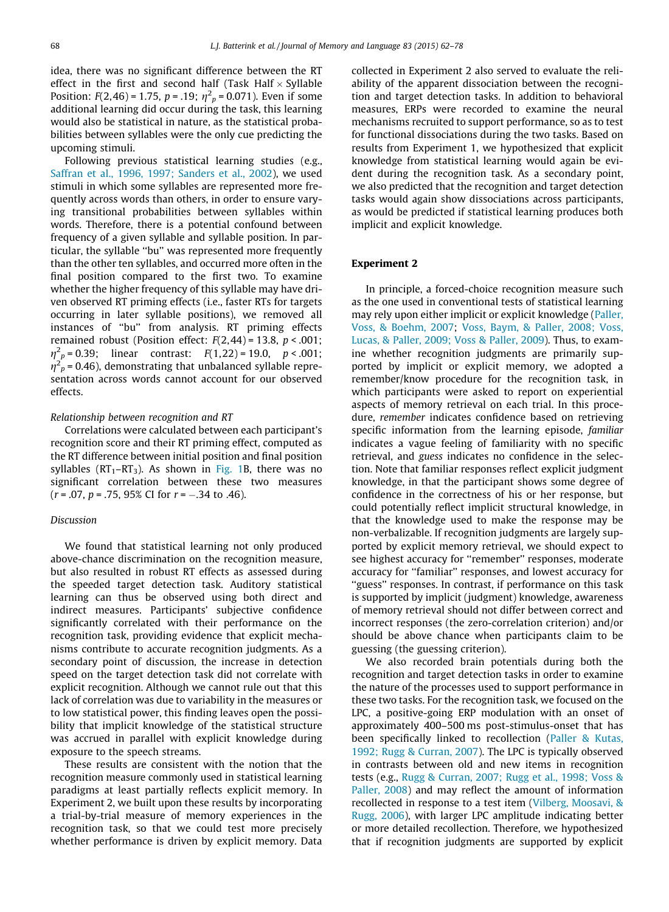idea, there was no significant difference between the RT effect in the first and second half (Task Half $\times$ Syllable Position:  $F(2,46) = 1.75$ ,  $p = .19$ ;  $\eta^2_p = 0.071$ ). Even if some additional learning did occur during the task, this learning would also be statistical in nature, as the statistical probabilities between syllables were the only cue predicting the upcoming stimuli.

Following previous statistical learning studies (e.g., [Saffran et al., 1996, 1997; Sanders et al., 2002\)](#page-15-0), we used stimuli in which some syllables are represented more frequently across words than others, in order to ensure varying transitional probabilities between syllables within words. Therefore, there is a potential confound between frequency of a given syllable and syllable position. In particular, the syllable ''bu'' was represented more frequently than the other ten syllables, and occurred more often in the final position compared to the first two. To examine whether the higher frequency of this syllable may have driven observed RT priming effects (i.e., faster RTs for targets occurring in later syllable positions), we removed all instances of ''bu'' from analysis. RT priming effects remained robust (Position effect:  $F(2,44) = 13.8$ ,  $p < .001$ ;  $\eta^2{}_p$  = 0.39; linear contrast:  $F(1,22)$  = 19.0,  $p < .001$ ;  $\eta^2_{\ p}$  = 0.46), demonstrating that unbalanced syllable representation across words cannot account for our observed effects.

# Relationship between recognition and RT

Correlations were calculated between each participant's recognition score and their RT priming effect, computed as the RT difference between initial position and final position syllables ( $RT_1-RT_3$ ). As shown in [Fig. 1](#page-5-0)B, there was no significant correlation between these two measures  $(r = .07, p = .75, 95\%$  CI for  $r = -.34$  to .46).

#### Discussion

We found that statistical learning not only produced above-chance discrimination on the recognition measure, but also resulted in robust RT effects as assessed during the speeded target detection task. Auditory statistical learning can thus be observed using both direct and indirect measures. Participants' subjective confidence significantly correlated with their performance on the recognition task, providing evidence that explicit mechanisms contribute to accurate recognition judgments. As a secondary point of discussion, the increase in detection speed on the target detection task did not correlate with explicit recognition. Although we cannot rule out that this lack of correlation was due to variability in the measures or to low statistical power, this finding leaves open the possibility that implicit knowledge of the statistical structure was accrued in parallel with explicit knowledge during exposure to the speech streams.

These results are consistent with the notion that the recognition measure commonly used in statistical learning paradigms at least partially reflects explicit memory. In Experiment 2, we built upon these results by incorporating a trial-by-trial measure of memory experiences in the recognition task, so that we could test more precisely whether performance is driven by explicit memory. Data

collected in Experiment 2 also served to evaluate the reliability of the apparent dissociation between the recognition and target detection tasks. In addition to behavioral measures, ERPs were recorded to examine the neural mechanisms recruited to support performance, so as to test for functional dissociations during the two tasks. Based on results from Experiment 1, we hypothesized that explicit knowledge from statistical learning would again be evident during the recognition task. As a secondary point, we also predicted that the recognition and target detection tasks would again show dissociations across participants, as would be predicted if statistical learning produces both implicit and explicit knowledge.

# Experiment 2

In principle, a forced-choice recognition measure such as the one used in conventional tests of statistical learning may rely upon either implicit or explicit knowledge [\(Paller,](#page-15-0) [Voss, & Boehm, 2007;](#page-15-0) [Voss, Baym, & Paller, 2008; Voss,](#page-16-0) [Lucas, & Paller, 2009; Voss & Paller, 2009](#page-16-0)). Thus, to examine whether recognition judgments are primarily supported by implicit or explicit memory, we adopted a remember/know procedure for the recognition task, in which participants were asked to report on experiential aspects of memory retrieval on each trial. In this procedure, remember indicates confidence based on retrieving specific information from the learning episode, familiar indicates a vague feeling of familiarity with no specific retrieval, and guess indicates no confidence in the selection. Note that familiar responses reflect explicit judgment knowledge, in that the participant shows some degree of confidence in the correctness of his or her response, but could potentially reflect implicit structural knowledge, in that the knowledge used to make the response may be non-verbalizable. If recognition judgments are largely supported by explicit memory retrieval, we should expect to see highest accuracy for ''remember'' responses, moderate accuracy for ''familiar'' responses, and lowest accuracy for ''guess'' responses. In contrast, if performance on this task is supported by implicit (judgment) knowledge, awareness of memory retrieval should not differ between correct and incorrect responses (the zero-correlation criterion) and/or should be above chance when participants claim to be guessing (the guessing criterion).

We also recorded brain potentials during both the recognition and target detection tasks in order to examine the nature of the processes used to support performance in these two tasks. For the recognition task, we focused on the LPC, a positive-going ERP modulation with an onset of approximately 400–500 ms post-stimulus-onset that has been specifically linked to recollection ([Paller & Kutas,](#page-15-0) [1992; Rugg & Curran, 2007](#page-15-0)). The LPC is typically observed in contrasts between old and new items in recognition tests (e.g., [Rugg & Curran, 2007; Rugg et al., 1998; Voss &](#page-15-0) [Paller, 2008\)](#page-15-0) and may reflect the amount of information recollected in response to a test item ([Vilberg, Moosavi, &](#page-16-0) [Rugg, 2006](#page-16-0)), with larger LPC amplitude indicating better or more detailed recollection. Therefore, we hypothesized that if recognition judgments are supported by explicit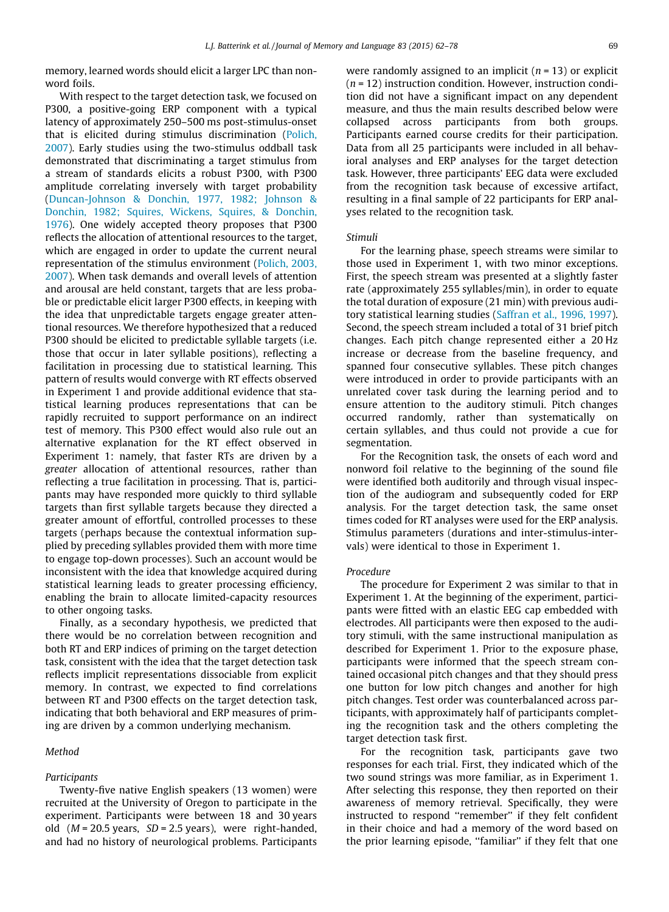memory, learned words should elicit a larger LPC than nonword foils.

With respect to the target detection task, we focused on P300, a positive-going ERP component with a typical latency of approximately 250–500 ms post-stimulus-onset that is elicited during stimulus discrimination [\(Polich,](#page-15-0) [2007\)](#page-15-0). Early studies using the two-stimulus oddball task demonstrated that discriminating a target stimulus from a stream of standards elicits a robust P300, with P300 amplitude correlating inversely with target probability ([Duncan-Johnson & Donchin, 1977, 1982; Johnson &](#page-14-0) [Donchin, 1982; Squires, Wickens, Squires, & Donchin,](#page-14-0) [1976\)](#page-14-0). One widely accepted theory proposes that P300 reflects the allocation of attentional resources to the target, which are engaged in order to update the current neural representation of the stimulus environment ([Polich, 2003,](#page-15-0) [2007\)](#page-15-0). When task demands and overall levels of attention and arousal are held constant, targets that are less probable or predictable elicit larger P300 effects, in keeping with the idea that unpredictable targets engage greater attentional resources. We therefore hypothesized that a reduced P300 should be elicited to predictable syllable targets (i.e. those that occur in later syllable positions), reflecting a facilitation in processing due to statistical learning. This pattern of results would converge with RT effects observed in Experiment 1 and provide additional evidence that statistical learning produces representations that can be rapidly recruited to support performance on an indirect test of memory. This P300 effect would also rule out an alternative explanation for the RT effect observed in Experiment 1: namely, that faster RTs are driven by a greater allocation of attentional resources, rather than reflecting a true facilitation in processing. That is, participants may have responded more quickly to third syllable targets than first syllable targets because they directed a greater amount of effortful, controlled processes to these targets (perhaps because the contextual information supplied by preceding syllables provided them with more time to engage top-down processes). Such an account would be inconsistent with the idea that knowledge acquired during statistical learning leads to greater processing efficiency, enabling the brain to allocate limited-capacity resources to other ongoing tasks.

Finally, as a secondary hypothesis, we predicted that there would be no correlation between recognition and both RT and ERP indices of priming on the target detection task, consistent with the idea that the target detection task reflects implicit representations dissociable from explicit memory. In contrast, we expected to find correlations between RT and P300 effects on the target detection task, indicating that both behavioral and ERP measures of priming are driven by a common underlying mechanism.

# Method

# Participants

Twenty-five native English speakers (13 women) were recruited at the University of Oregon to participate in the experiment. Participants were between 18 and 30 years old  $(M = 20.5$  years,  $SD = 2.5$  years), were right-handed, and had no history of neurological problems. Participants were randomly assigned to an implicit  $(n = 13)$  or explicit  $(n = 12)$  instruction condition. However, instruction condition did not have a significant impact on any dependent measure, and thus the main results described below were collapsed across participants from both groups. Participants earned course credits for their participation. Data from all 25 participants were included in all behavioral analyses and ERP analyses for the target detection task. However, three participants' EEG data were excluded from the recognition task because of excessive artifact, resulting in a final sample of 22 participants for ERP analyses related to the recognition task.

#### Stimuli

For the learning phase, speech streams were similar to those used in Experiment 1, with two minor exceptions. First, the speech stream was presented at a slightly faster rate (approximately 255 syllables/min), in order to equate the total duration of exposure (21 min) with previous auditory statistical learning studies [\(Saffran et al., 1996, 1997](#page-15-0)). Second, the speech stream included a total of 31 brief pitch changes. Each pitch change represented either a 20 Hz increase or decrease from the baseline frequency, and spanned four consecutive syllables. These pitch changes were introduced in order to provide participants with an unrelated cover task during the learning period and to ensure attention to the auditory stimuli. Pitch changes occurred randomly, rather than systematically on certain syllables, and thus could not provide a cue for segmentation.

For the Recognition task, the onsets of each word and nonword foil relative to the beginning of the sound file were identified both auditorily and through visual inspection of the audiogram and subsequently coded for ERP analysis. For the target detection task, the same onset times coded for RT analyses were used for the ERP analysis. Stimulus parameters (durations and inter-stimulus-intervals) were identical to those in Experiment 1.

## Procedure

The procedure for Experiment 2 was similar to that in Experiment 1. At the beginning of the experiment, participants were fitted with an elastic EEG cap embedded with electrodes. All participants were then exposed to the auditory stimuli, with the same instructional manipulation as described for Experiment 1. Prior to the exposure phase, participants were informed that the speech stream contained occasional pitch changes and that they should press one button for low pitch changes and another for high pitch changes. Test order was counterbalanced across participants, with approximately half of participants completing the recognition task and the others completing the target detection task first.

For the recognition task, participants gave two responses for each trial. First, they indicated which of the two sound strings was more familiar, as in Experiment 1. After selecting this response, they then reported on their awareness of memory retrieval. Specifically, they were instructed to respond ''remember'' if they felt confident in their choice and had a memory of the word based on the prior learning episode, ''familiar'' if they felt that one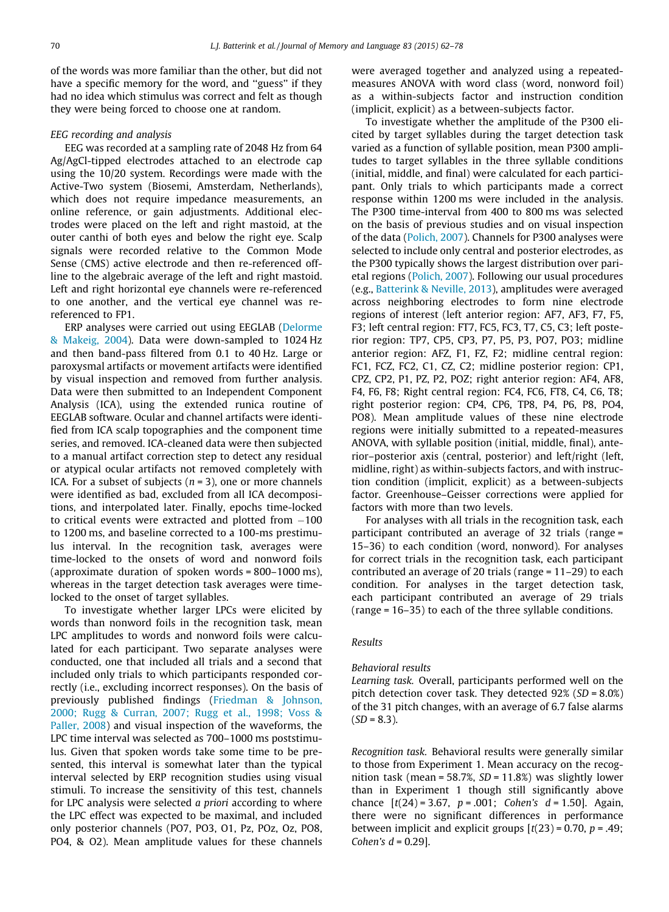of the words was more familiar than the other, but did not have a specific memory for the word, and ''guess'' if they had no idea which stimulus was correct and felt as though they were being forced to choose one at random.

# EEG recording and analysis

EEG was recorded at a sampling rate of 2048 Hz from 64 Ag/AgCl-tipped electrodes attached to an electrode cap using the 10/20 system. Recordings were made with the Active-Two system (Biosemi, Amsterdam, Netherlands), which does not require impedance measurements, an online reference, or gain adjustments. Additional electrodes were placed on the left and right mastoid, at the outer canthi of both eyes and below the right eye. Scalp signals were recorded relative to the Common Mode Sense (CMS) active electrode and then re-referenced offline to the algebraic average of the left and right mastoid. Left and right horizontal eye channels were re-referenced to one another, and the vertical eye channel was rereferenced to FP1.

ERP analyses were carried out using EEGLAB [\(Delorme](#page-14-0) [& Makeig, 2004\)](#page-14-0). Data were down-sampled to 1024 Hz and then band-pass filtered from 0.1 to 40 Hz. Large or paroxysmal artifacts or movement artifacts were identified by visual inspection and removed from further analysis. Data were then submitted to an Independent Component Analysis (ICA), using the extended runica routine of EEGLAB software. Ocular and channel artifacts were identified from ICA scalp topographies and the component time series, and removed. ICA-cleaned data were then subjected to a manual artifact correction step to detect any residual or atypical ocular artifacts not removed completely with ICA. For a subset of subjects ( $n = 3$ ), one or more channels were identified as bad, excluded from all ICA decompositions, and interpolated later. Finally, epochs time-locked to critical events were extracted and plotted from  $-100$ to 1200 ms, and baseline corrected to a 100-ms prestimulus interval. In the recognition task, averages were time-locked to the onsets of word and nonword foils (approximate duration of spoken words = 800–1000 ms), whereas in the target detection task averages were timelocked to the onset of target syllables.

To investigate whether larger LPCs were elicited by words than nonword foils in the recognition task, mean LPC amplitudes to words and nonword foils were calculated for each participant. Two separate analyses were conducted, one that included all trials and a second that included only trials to which participants responded correctly (i.e., excluding incorrect responses). On the basis of previously published findings ([Friedman & Johnson,](#page-15-0) [2000; Rugg & Curran, 2007; Rugg et al., 1998; Voss &](#page-15-0) [Paller, 2008](#page-15-0)) and visual inspection of the waveforms, the LPC time interval was selected as 700–1000 ms poststimulus. Given that spoken words take some time to be presented, this interval is somewhat later than the typical interval selected by ERP recognition studies using visual stimuli. To increase the sensitivity of this test, channels for LPC analysis were selected a priori according to where the LPC effect was expected to be maximal, and included only posterior channels (PO7, PO3, O1, Pz, POz, Oz, PO8, PO4, & O2). Mean amplitude values for these channels were averaged together and analyzed using a repeatedmeasures ANOVA with word class (word, nonword foil) as a within-subjects factor and instruction condition (implicit, explicit) as a between-subjects factor.

To investigate whether the amplitude of the P300 elicited by target syllables during the target detection task varied as a function of syllable position, mean P300 amplitudes to target syllables in the three syllable conditions (initial, middle, and final) were calculated for each participant. Only trials to which participants made a correct response within 1200 ms were included in the analysis. The P300 time-interval from 400 to 800 ms was selected on the basis of previous studies and on visual inspection of the data ([Polich, 2007](#page-15-0)). Channels for P300 analyses were selected to include only central and posterior electrodes, as the P300 typically shows the largest distribution over parietal regions [\(Polich, 2007](#page-15-0)). Following our usual procedures (e.g., [Batterink & Neville, 2013\)](#page-14-0), amplitudes were averaged across neighboring electrodes to form nine electrode regions of interest (left anterior region: AF7, AF3, F7, F5, F3; left central region: FT7, FC5, FC3, T7, C5, C3; left posterior region: TP7, CP5, CP3, P7, P5, P3, PO7, PO3; midline anterior region: AFZ, F1, FZ, F2; midline central region: FC1, FCZ, FC2, C1, CZ, C2; midline posterior region: CP1, CPZ, CP2, P1, PZ, P2, POZ; right anterior region: AF4, AF8, F4, F6, F8; Right central region: FC4, FC6, FT8, C4, C6, T8; right posterior region: CP4, CP6, TP8, P4, P6, P8, PO4, PO8). Mean amplitude values of these nine electrode regions were initially submitted to a repeated-measures ANOVA, with syllable position (initial, middle, final), anterior–posterior axis (central, posterior) and left/right (left, midline, right) as within-subjects factors, and with instruction condition (implicit, explicit) as a between-subjects factor. Greenhouse–Geisser corrections were applied for factors with more than two levels.

For analyses with all trials in the recognition task, each participant contributed an average of 32 trials (range = 15–36) to each condition (word, nonword). For analyses for correct trials in the recognition task, each participant contributed an average of 20 trials (range = 11–29) to each condition. For analyses in the target detection task, each participant contributed an average of 29 trials (range = 16–35) to each of the three syllable conditions.

# Results

#### Behavioral results

Learning task. Overall, participants performed well on the pitch detection cover task. They detected  $92\%$  (SD = 8.0%) of the 31 pitch changes, with an average of 6.7 false alarms  $(SD = 8.3)$ .

Recognition task. Behavioral results were generally similar to those from Experiment 1. Mean accuracy on the recognition task (mean = 58.7%, SD = 11.8%) was slightly lower than in Experiment 1 though still significantly above chance  $[t(24) = 3.67, p = .001; Cohen's d = 1.50].$  Again, there were no significant differences in performance between implicit and explicit groups  $[t(23) = 0.70, p = .49;$ Cohen's  $d = 0.29$ ].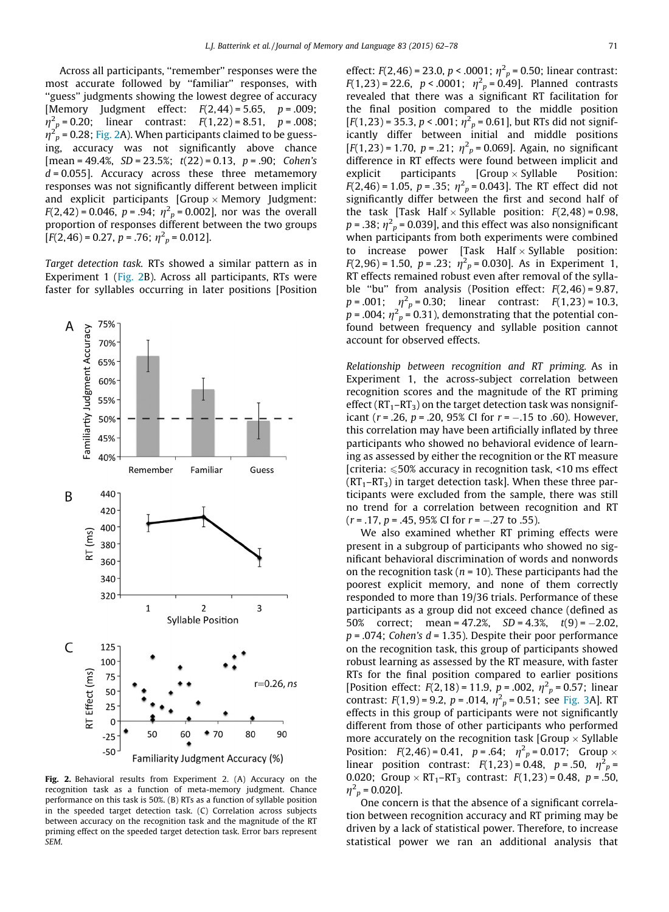Across all participants, ''remember'' responses were the most accurate followed by ''familiar'' responses, with ''guess'' judgments showing the lowest degree of accuracy [Memory Judgment effect:  $F(2,44) = 5.65$ ,  $p = .009$ ;  $\eta^2{}_p$  = 0.20; linear contrast:  $F(1,22)$  = 8.51,  $p$  = .008;  $\eta^2_{\phantom{2}p}$  = 0.28; Fig. 2A). When participants claimed to be guessing, accuracy was not significantly above chance  $[mean = 49.4\%, SD = 23.5\%; t(22) = 0.13, p = .90; Cohen's$  $d = 0.055$ ]. Accuracy across these three metamemory responses was not significantly different between implicit and explicit participants [Group $\times$ Memory Judgment:  $F(2,42) = 0.046$ ,  $p = .94$ ;  $\eta^2{}_p = 0.002$ ], nor was the overall proportion of responses different between the two groups  $[F(2, 46) = 0.27, p = .76; \eta^2_p = 0.012].$ 

Target detection task. RTs showed a similar pattern as in Experiment 1 (Fig. 2B). Across all participants, RTs were faster for syllables occurring in later positions [Position



Fig. 2. Behavioral results from Experiment 2. (A) Accuracy on the recognition task as a function of meta-memory judgment. Chance performance on this task is 50%. (B) RTs as a function of syllable position in the speeded target detection task. (C) Correlation across subjects between accuracy on the recognition task and the magnitude of the RT priming effect on the speeded target detection task. Error bars represent SEM.

effect:  $F(2,46) = 23.0, p < .0001; \eta^2_p = 0.50;$  linear contrast:  $F(1,23) = 22.6$ ,  $p < .0001$ ;  $\eta^2{}_p = 0.49$ ]. Planned contrasts revealed that there was a significant RT facilitation for the final position compared to the middle position  $[F(1,23) = 35.3, p < .001; \eta^2_p = 0.61]$ , but RTs did not significantly differ between initial and middle positions  $[F(1,23) = 1.70, p = .21; \eta^2_p = 0.069]$ . Again, no significant difference in RT effects were found between implicit and explicit participants  $\sqrt{\text{Group} \times \text{Syllable}}$  Position:  $F(2,46) = 1.05$ ,  $p = .35$ ;  $\eta^2 p = 0.043$ ]. The RT effect did not significantly differ between the first and second half of the task [Task Half  $\times$  Syllable position:  $F(2,48)$  = 0.98, p = .38;  $\eta^2{}_p$  = 0.039], and this effect was also nonsignificant when participants from both experiments were combined to increase power [Task Half $\times$  Syllable position:  $F(2,96) = 1.50$ ,  $p = .23$ ;  $\eta^2 p = 0.030$ ]. As in Experiment 1, RT effects remained robust even after removal of the syllable "bu" from analysis (Position effect:  $F(2, 46) = 9.87$ ,  $p = .001; \quad \eta^2{}_p = 0.30; \quad$  linear contrast:  $F(1,23) = 10.3,$  $p$  = .004;  $\eta^2{}_p$  = 0.31), demonstrating that the potential confound between frequency and syllable position cannot account for observed effects.

Relationship between recognition and RT priming. As in Experiment 1, the across-subject correlation between recognition scores and the magnitude of the RT priming effect ( $RT_1-RT_3$ ) on the target detection task was nonsignificant ( $r = 0.26$ ,  $p = 0.20$ ,  $95\%$  CI for  $r = -0.15$  to  $0.60$ ). However, this correlation may have been artificially inflated by three participants who showed no behavioral evidence of learning as assessed by either the recognition or the RT measure [criteria: 650% accuracy in recognition task, <10 ms effect  $(RT_1-RT_3)$  in target detection task]. When these three participants were excluded from the sample, there was still no trend for a correlation between recognition and RT  $(r = .17, p = .45, 95\%$  CI for  $r = -.27$  to  $.55$ ).

We also examined whether RT priming effects were present in a subgroup of participants who showed no significant behavioral discrimination of words and nonwords on the recognition task ( $n = 10$ ). These participants had the poorest explicit memory, and none of them correctly responded to more than 19/36 trials. Performance of these participants as a group did not exceed chance (defined as 50% correct; mean = 47.2%,  $SD = 4.3\%$ ,  $t(9) = -2.02$ ,  $p = 0.074$ ; Cohen's  $d = 1.35$ ). Despite their poor performance on the recognition task, this group of participants showed robust learning as assessed by the RT measure, with faster RTs for the final position compared to earlier positions [Position effect:  $F(2,18) = 11.9$ ,  $p = .002$ ,  $\eta^2_p = 0.57$ ; linear contrast:  $F(1,9) = 9.2$ ,  $p = .014$ ,  $\eta^2 p = 0.51$ ; see [Fig. 3A](#page-10-0)]. RT effects in this group of participants were not significantly different from those of other participants who performed more accurately on the recognition task [Group  $\times$  Syllable Position:  $F(2, 46) = 0.41$ ,  $p = .64$ ;  $\eta^2 p = 0.017$ ; Group  $\times$ linear position contrast:  $F(1,23) = 0.48$ ,  $p = .50$ ,  $\eta^2{}_p =$ 0.020; Group  $\times$  RT<sub>1</sub>–RT<sub>3</sub> contrast:  $F(1,23)$  = 0.48,  $p$  = .50,  $\eta^2{}_p = 0.020$ ].

One concern is that the absence of a significant correlation between recognition accuracy and RT priming may be driven by a lack of statistical power. Therefore, to increase statistical power we ran an additional analysis that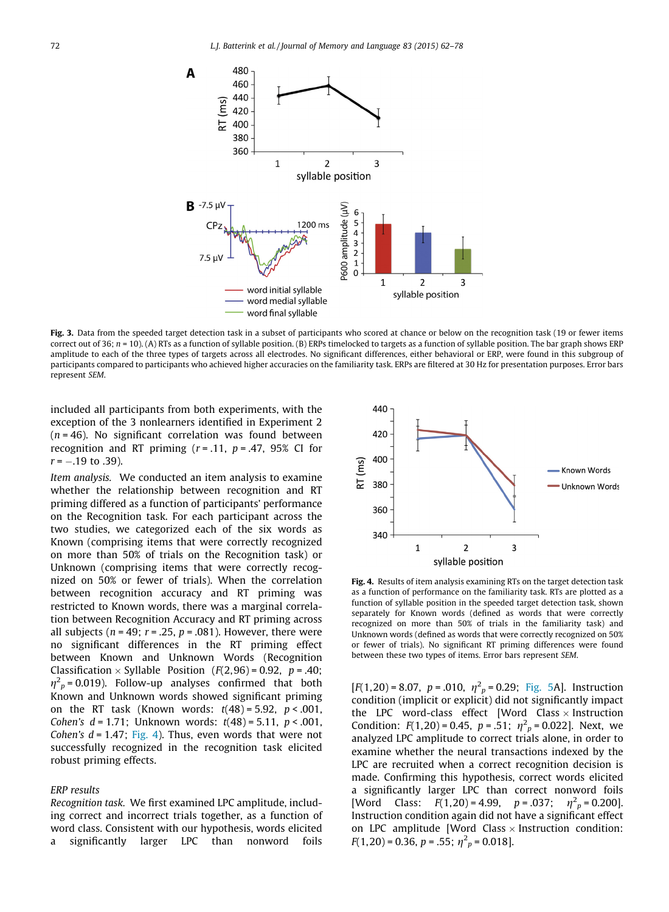<span id="page-10-0"></span>

Fig. 3. Data from the speeded target detection task in a subset of participants who scored at chance or below on the recognition task (19 or fewer items correct out of 36;  $n = 10$ ). (A) RTs as a function of syllable position. (B) ERPs timelocked to targets as a function of syllable position. The bar graph shows ERP amplitude to each of the three types of targets across all electrodes. No significant differences, either behavioral or ERP, were found in this subgroup of participants compared to participants who achieved higher accuracies on the familiarity task. ERPs are filtered at 30 Hz for presentation purposes. Error bars represent SEM.

included all participants from both experiments, with the exception of the 3 nonlearners identified in Experiment 2  $(n = 46)$ . No significant correlation was found between recognition and RT priming  $(r = .11, p = .47, 95\%$  CI for  $r = -.19$  to .39).

Item analysis. We conducted an item analysis to examine whether the relationship between recognition and RT priming differed as a function of participants' performance on the Recognition task. For each participant across the two studies, we categorized each of the six words as Known (comprising items that were correctly recognized on more than 50% of trials on the Recognition task) or Unknown (comprising items that were correctly recognized on 50% or fewer of trials). When the correlation between recognition accuracy and RT priming was restricted to Known words, there was a marginal correlation between Recognition Accuracy and RT priming across all subjects ( $n = 49$ ;  $r = .25$ ,  $p = .081$ ). However, there were no significant differences in the RT priming effect between Known and Unknown Words (Recognition Classification  $\times$  Syllable Position (F(2,96) = 0.92, p = .40;  $\eta^2{}_p$  = 0.019). Follow-up analyses confirmed that both Known and Unknown words showed significant priming on the RT task (Known words:  $t(48) = 5.92$ ,  $p < .001$ , Cohen's  $d = 1.71$ ; Unknown words:  $t(48) = 5.11$ ,  $p < .001$ , Cohen's  $d = 1.47$ ; Fig. 4). Thus, even words that were not successfully recognized in the recognition task elicited robust priming effects.

# ERP results

Recognition task. We first examined LPC amplitude, including correct and incorrect trials together, as a function of word class. Consistent with our hypothesis, words elicited a significantly larger LPC than nonword foils



Fig. 4. Results of item analysis examining RTs on the target detection task as a function of performance on the familiarity task. RTs are plotted as a function of syllable position in the speeded target detection task, shown separately for Known words (defined as words that were correctly recognized on more than 50% of trials in the familiarity task) and Unknown words (defined as words that were correctly recognized on 50% or fewer of trials). No significant RT priming differences were found between these two types of items. Error bars represent SEM.

 $[F(1,20) = 8.07, p = .010, \eta^2_p = 0.29; Fig. 5A]$  $[F(1,20) = 8.07, p = .010, \eta^2_p = 0.29; Fig. 5A]$  $[F(1,20) = 8.07, p = .010, \eta^2_p = 0.29; Fig. 5A]$ . Instruction condition (implicit or explicit) did not significantly impact the LPC word-class effect [Word Class  $\times$  Instruction Condition:  $F(1,20) = 0.45$ ,  $p = .51$ ;  $\eta^2 p = 0.022$ ]. Next, we analyzed LPC amplitude to correct trials alone, in order to examine whether the neural transactions indexed by the LPC are recruited when a correct recognition decision is made. Confirming this hypothesis, correct words elicited a significantly larger LPC than correct nonword foils [Word Class:  $F(1,20) = 4.99$ ,  $p = .037$ ;  $\eta^2 p = 0.200$ ]. Instruction condition again did not have a significant effect on LPC amplitude [Word Class  $\times$  Instruction condition:  $F(1,20) = 0.36, p = .55; \eta^2_p = 0.018$ .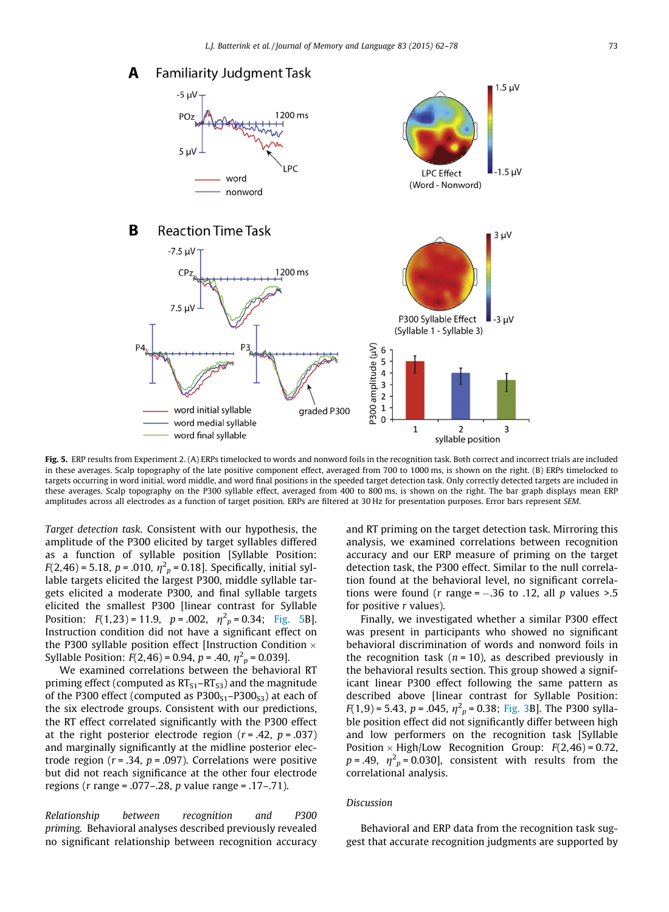<span id="page-11-0"></span>

Fig. 5. ERP results from Experiment 2. (A) ERPs timelocked to words and nonword foils in the recognition task. Both correct and incorrect trials are included in these averages. Scalp topography of the late positive component effect, averaged from 700 to 1000 ms, is shown on the right. (B) ERPs timelocked to targets occurring in word initial, word middle, and word final positions in the speeded target detection task. Only correctly detected targets are included in these averages. Scalp topography on the P300 syllable effect, averaged from 400 to 800 ms, is shown on the right. The bar graph displays mean ERP amplitudes across all electrodes as a function of target position. ERPs are filtered at 30 Hz for presentation purposes. Error bars represent SEM.

Target detection task. Consistent with our hypothesis, the amplitude of the P300 elicited by target syllables differed as a function of syllable position [Syllable Position:  $F(2, 46) = 5.18$ ,  $p = .010$ ,  $\eta^2{}_p = 0.18$ ]. Specifically, initial syllable targets elicited the largest P300, middle syllable targets elicited a moderate P300, and final syllable targets elicited the smallest P300 [linear contrast for Syllable Position:  $F(1,23) = 11.9$ ,  $p = .002$ ,  $\eta^2 p = 0.34$ ; Fig. 5B]. Instruction condition did not have a significant effect on the P300 syllable position effect [Instruction Condition  $\times$ Syllable Position:  $F(2,46) = 0.94$ ,  $p = .40$ ,  $\eta^2{}_p = 0.039$ ].

We examined correlations between the behavioral RT priming effect (computed as  $RT_{S1}$ – $RT_{S3}$ ) and the magnitude of the P300 effect (computed as  $P300<sub>S1</sub> - P300<sub>S3</sub>$ ) at each of the six electrode groups. Consistent with our predictions, the RT effect correlated significantly with the P300 effect at the right posterior electrode region  $(r = .42, p = .037)$ and marginally significantly at the midline posterior electrode region ( $r = .34$ ,  $p = .097$ ). Correlations were positive but did not reach significance at the other four electrode regions (r range = .077–.28, p value range = .17–.71).

Relationship between recognition and P300 priming. Behavioral analyses described previously revealed no significant relationship between recognition accuracy

and RT priming on the target detection task. Mirroring this analysis, we examined correlations between recognition accuracy and our ERP measure of priming on the target detection task, the P300 effect. Similar to the null correlation found at the behavioral level, no significant correlations were found (*r* range =  $-.36$  to .12, all *p* values >.5 for positive  $r$  values).

Finally, we investigated whether a similar P300 effect was present in participants who showed no significant behavioral discrimination of words and nonword foils in the recognition task  $(n = 10)$ , as described previously in the behavioral results section. This group showed a significant linear P300 effect following the same pattern as described above [linear contrast for Syllable Position:  $F(1,9) = 5.43$ ,  $p = .045$ ,  $\eta^2 p = 0.38$ ; [Fig. 3](#page-10-0)B]. The P300 syllable position effect did not significantly differ between high and low performers on the recognition task [Syllable Position  $\times$  High/Low Recognition Group:  $F(2, 46) = 0.72$ ,  $p = .49$ ,  $\eta^2$ <sub>p</sub> = 0.030], consistent with results from the correlational analysis.

# Discussion

Behavioral and ERP data from the recognition task suggest that accurate recognition judgments are supported by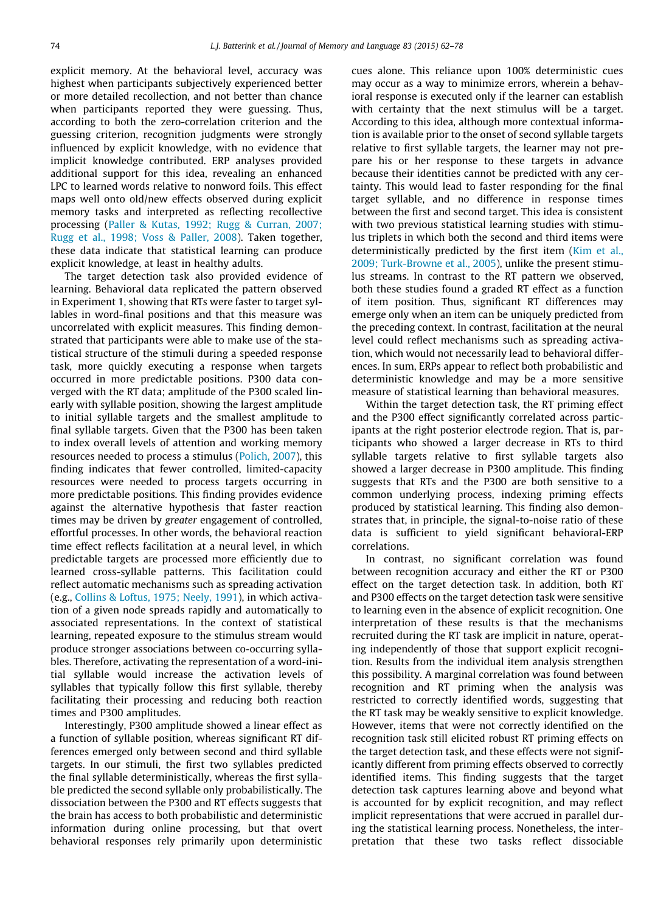explicit memory. At the behavioral level, accuracy was highest when participants subjectively experienced better or more detailed recollection, and not better than chance when participants reported they were guessing. Thus, according to both the zero-correlation criterion and the guessing criterion, recognition judgments were strongly influenced by explicit knowledge, with no evidence that implicit knowledge contributed. ERP analyses provided additional support for this idea, revealing an enhanced LPC to learned words relative to nonword foils. This effect maps well onto old/new effects observed during explicit memory tasks and interpreted as reflecting recollective processing [\(Paller & Kutas, 1992; Rugg & Curran, 2007;](#page-15-0) [Rugg et al., 1998; Voss & Paller, 2008](#page-15-0)). Taken together, these data indicate that statistical learning can produce explicit knowledge, at least in healthy adults.

The target detection task also provided evidence of learning. Behavioral data replicated the pattern observed in Experiment 1, showing that RTs were faster to target syllables in word-final positions and that this measure was uncorrelated with explicit measures. This finding demonstrated that participants were able to make use of the statistical structure of the stimuli during a speeded response task, more quickly executing a response when targets occurred in more predictable positions. P300 data converged with the RT data; amplitude of the P300 scaled linearly with syllable position, showing the largest amplitude to initial syllable targets and the smallest amplitude to final syllable targets. Given that the P300 has been taken to index overall levels of attention and working memory resources needed to process a stimulus ([Polich, 2007\)](#page-15-0), this finding indicates that fewer controlled, limited-capacity resources were needed to process targets occurring in more predictable positions. This finding provides evidence against the alternative hypothesis that faster reaction times may be driven by greater engagement of controlled, effortful processes. In other words, the behavioral reaction time effect reflects facilitation at a neural level, in which predictable targets are processed more efficiently due to learned cross-syllable patterns. This facilitation could reflect automatic mechanisms such as spreading activation (e.g., [Collins & Loftus, 1975; Neely, 1991\)](#page-14-0), in which activation of a given node spreads rapidly and automatically to associated representations. In the context of statistical learning, repeated exposure to the stimulus stream would produce stronger associations between co-occurring syllables. Therefore, activating the representation of a word-initial syllable would increase the activation levels of syllables that typically follow this first syllable, thereby facilitating their processing and reducing both reaction times and P300 amplitudes.

Interestingly, P300 amplitude showed a linear effect as a function of syllable position, whereas significant RT differences emerged only between second and third syllable targets. In our stimuli, the first two syllables predicted the final syllable deterministically, whereas the first syllable predicted the second syllable only probabilistically. The dissociation between the P300 and RT effects suggests that the brain has access to both probabilistic and deterministic information during online processing, but that overt behavioral responses rely primarily upon deterministic

cues alone. This reliance upon 100% deterministic cues may occur as a way to minimize errors, wherein a behavioral response is executed only if the learner can establish with certainty that the next stimulus will be a target. According to this idea, although more contextual information is available prior to the onset of second syllable targets relative to first syllable targets, the learner may not prepare his or her response to these targets in advance because their identities cannot be predicted with any certainty. This would lead to faster responding for the final target syllable, and no difference in response times between the first and second target. This idea is consistent with two previous statistical learning studies with stimulus triplets in which both the second and third items were deterministically predicted by the first item [\(Kim et al.,](#page-15-0) [2009; Turk-Browne et al., 2005\)](#page-15-0), unlike the present stimulus streams. In contrast to the RT pattern we observed, both these studies found a graded RT effect as a function of item position. Thus, significant RT differences may emerge only when an item can be uniquely predicted from the preceding context. In contrast, facilitation at the neural level could reflect mechanisms such as spreading activation, which would not necessarily lead to behavioral differences. In sum, ERPs appear to reflect both probabilistic and deterministic knowledge and may be a more sensitive measure of statistical learning than behavioral measures.

Within the target detection task, the RT priming effect and the P300 effect significantly correlated across participants at the right posterior electrode region. That is, participants who showed a larger decrease in RTs to third syllable targets relative to first syllable targets also showed a larger decrease in P300 amplitude. This finding suggests that RTs and the P300 are both sensitive to a common underlying process, indexing priming effects produced by statistical learning. This finding also demonstrates that, in principle, the signal-to-noise ratio of these data is sufficient to yield significant behavioral-ERP correlations.

In contrast, no significant correlation was found between recognition accuracy and either the RT or P300 effect on the target detection task. In addition, both RT and P300 effects on the target detection task were sensitive to learning even in the absence of explicit recognition. One interpretation of these results is that the mechanisms recruited during the RT task are implicit in nature, operating independently of those that support explicit recognition. Results from the individual item analysis strengthen this possibility. A marginal correlation was found between recognition and RT priming when the analysis was restricted to correctly identified words, suggesting that the RT task may be weakly sensitive to explicit knowledge. However, items that were not correctly identified on the recognition task still elicited robust RT priming effects on the target detection task, and these effects were not significantly different from priming effects observed to correctly identified items. This finding suggests that the target detection task captures learning above and beyond what is accounted for by explicit recognition, and may reflect implicit representations that were accrued in parallel during the statistical learning process. Nonetheless, the interpretation that these two tasks reflect dissociable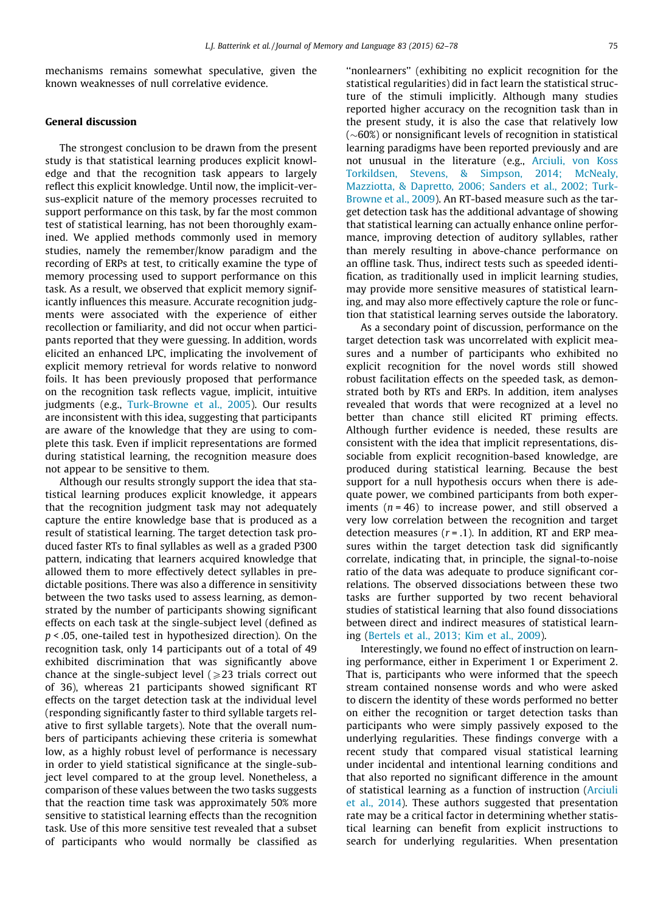mechanisms remains somewhat speculative, given the known weaknesses of null correlative evidence.

# General discussion

The strongest conclusion to be drawn from the present study is that statistical learning produces explicit knowledge and that the recognition task appears to largely reflect this explicit knowledge. Until now, the implicit-versus-explicit nature of the memory processes recruited to support performance on this task, by far the most common test of statistical learning, has not been thoroughly examined. We applied methods commonly used in memory studies, namely the remember/know paradigm and the recording of ERPs at test, to critically examine the type of memory processing used to support performance on this task. As a result, we observed that explicit memory significantly influences this measure. Accurate recognition judgments were associated with the experience of either recollection or familiarity, and did not occur when participants reported that they were guessing. In addition, words elicited an enhanced LPC, implicating the involvement of explicit memory retrieval for words relative to nonword foils. It has been previously proposed that performance on the recognition task reflects vague, implicit, intuitive judgments (e.g., [Turk-Browne et al., 2005](#page-15-0)). Our results are inconsistent with this idea, suggesting that participants are aware of the knowledge that they are using to complete this task. Even if implicit representations are formed during statistical learning, the recognition measure does not appear to be sensitive to them.

Although our results strongly support the idea that statistical learning produces explicit knowledge, it appears that the recognition judgment task may not adequately capture the entire knowledge base that is produced as a result of statistical learning. The target detection task produced faster RTs to final syllables as well as a graded P300 pattern, indicating that learners acquired knowledge that allowed them to more effectively detect syllables in predictable positions. There was also a difference in sensitivity between the two tasks used to assess learning, as demonstrated by the number of participants showing significant effects on each task at the single-subject level (defined as  $p < .05$ , one-tailed test in hypothesized direction). On the recognition task, only 14 participants out of a total of 49 exhibited discrimination that was significantly above chance at the single-subject level ( $\geq$ 23 trials correct out of 36), whereas 21 participants showed significant RT effects on the target detection task at the individual level (responding significantly faster to third syllable targets relative to first syllable targets). Note that the overall numbers of participants achieving these criteria is somewhat low, as a highly robust level of performance is necessary in order to yield statistical significance at the single-subject level compared to at the group level. Nonetheless, a comparison of these values between the two tasks suggests that the reaction time task was approximately 50% more sensitive to statistical learning effects than the recognition task. Use of this more sensitive test revealed that a subset of participants who would normally be classified as

''nonlearners'' (exhibiting no explicit recognition for the statistical regularities) did in fact learn the statistical structure of the stimuli implicitly. Although many studies reported higher accuracy on the recognition task than in the present study, it is also the case that relatively low  $(\sim60%)$  or nonsignificant levels of recognition in statistical learning paradigms have been reported previously and are not unusual in the literature (e.g., [Arciuli, von Koss](#page-14-0) [Torkildsen, Stevens, & Simpson, 2014; McNealy,](#page-14-0) [Mazziotta, & Dapretto, 2006; Sanders et al., 2002; Turk-](#page-14-0)[Browne et al., 2009](#page-14-0)). An RT-based measure such as the target detection task has the additional advantage of showing that statistical learning can actually enhance online performance, improving detection of auditory syllables, rather than merely resulting in above-chance performance on an offline task. Thus, indirect tests such as speeded identification, as traditionally used in implicit learning studies, may provide more sensitive measures of statistical learning, and may also more effectively capture the role or function that statistical learning serves outside the laboratory.

As a secondary point of discussion, performance on the target detection task was uncorrelated with explicit measures and a number of participants who exhibited no explicit recognition for the novel words still showed robust facilitation effects on the speeded task, as demonstrated both by RTs and ERPs. In addition, item analyses revealed that words that were recognized at a level no better than chance still elicited RT priming effects. Although further evidence is needed, these results are consistent with the idea that implicit representations, dissociable from explicit recognition-based knowledge, are produced during statistical learning. Because the best support for a null hypothesis occurs when there is adequate power, we combined participants from both experiments ( $n = 46$ ) to increase power, and still observed a very low correlation between the recognition and target detection measures  $(r = .1)$ . In addition, RT and ERP measures within the target detection task did significantly correlate, indicating that, in principle, the signal-to-noise ratio of the data was adequate to produce significant correlations. The observed dissociations between these two tasks are further supported by two recent behavioral studies of statistical learning that also found dissociations between direct and indirect measures of statistical learning [\(Bertels et al., 2013; Kim et al., 2009](#page-14-0)).

Interestingly, we found no effect of instruction on learning performance, either in Experiment 1 or Experiment 2. That is, participants who were informed that the speech stream contained nonsense words and who were asked to discern the identity of these words performed no better on either the recognition or target detection tasks than participants who were simply passively exposed to the underlying regularities. These findings converge with a recent study that compared visual statistical learning under incidental and intentional learning conditions and that also reported no significant difference in the amount of statistical learning as a function of instruction [\(Arciuli](#page-14-0) [et al., 2014\)](#page-14-0). These authors suggested that presentation rate may be a critical factor in determining whether statistical learning can benefit from explicit instructions to search for underlying regularities. When presentation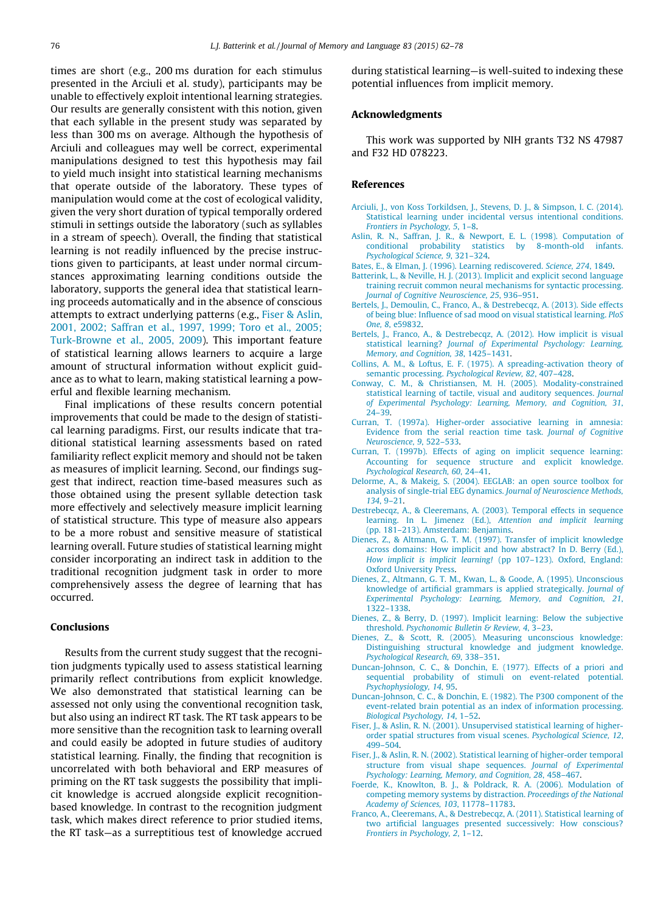<span id="page-14-0"></span>times are short (e.g., 200 ms duration for each stimulus presented in the Arciuli et al. study), participants may be unable to effectively exploit intentional learning strategies. Our results are generally consistent with this notion, given that each syllable in the present study was separated by less than 300 ms on average. Although the hypothesis of Arciuli and colleagues may well be correct, experimental manipulations designed to test this hypothesis may fail to yield much insight into statistical learning mechanisms that operate outside of the laboratory. These types of manipulation would come at the cost of ecological validity, given the very short duration of typical temporally ordered stimuli in settings outside the laboratory (such as syllables in a stream of speech). Overall, the finding that statistical learning is not readily influenced by the precise instructions given to participants, at least under normal circumstances approximating learning conditions outside the laboratory, supports the general idea that statistical learning proceeds automatically and in the absence of conscious attempts to extract underlying patterns (e.g., Fiser & Aslin, 2001, 2002; Saffran et al., 1997, 1999; Toro et al., 2005; Turk-Browne et al., 2005, 2009). This important feature of statistical learning allows learners to acquire a large amount of structural information without explicit guidance as to what to learn, making statistical learning a powerful and flexible learning mechanism.

Final implications of these results concern potential improvements that could be made to the design of statistical learning paradigms. First, our results indicate that traditional statistical learning assessments based on rated familiarity reflect explicit memory and should not be taken as measures of implicit learning. Second, our findings suggest that indirect, reaction time-based measures such as those obtained using the present syllable detection task more effectively and selectively measure implicit learning of statistical structure. This type of measure also appears to be a more robust and sensitive measure of statistical learning overall. Future studies of statistical learning might consider incorporating an indirect task in addition to the traditional recognition judgment task in order to more comprehensively assess the degree of learning that has occurred.

# Conclusions

Results from the current study suggest that the recognition judgments typically used to assess statistical learning primarily reflect contributions from explicit knowledge. We also demonstrated that statistical learning can be assessed not only using the conventional recognition task, but also using an indirect RT task. The RT task appears to be more sensitive than the recognition task to learning overall and could easily be adopted in future studies of auditory statistical learning. Finally, the finding that recognition is uncorrelated with both behavioral and ERP measures of priming on the RT task suggests the possibility that implicit knowledge is accrued alongside explicit recognitionbased knowledge. In contrast to the recognition judgment task, which makes direct reference to prior studied items, the RT task—as a surreptitious test of knowledge accrued during statistical learning—is well-suited to indexing these potential influences from implicit memory.

## Acknowledgments

This work was supported by NIH grants T32 NS 47987 and F32 HD 078223.

# References

- [Arciuli, J., von Koss Torkildsen, J., Stevens, D. J., & Simpson, I. C. \(2014\).](http://refhub.elsevier.com/S0749-596X(15)00057-1/h0005) [Statistical learning under incidental versus intentional conditions.](http://refhub.elsevier.com/S0749-596X(15)00057-1/h0005) [Frontiers in Psychology, 5](http://refhub.elsevier.com/S0749-596X(15)00057-1/h0005), 1–8.
- [Aslin, R. N., Saffran, J. R., & Newport, E. L. \(1998\). Computation of](http://refhub.elsevier.com/S0749-596X(15)00057-1/h0010) [conditional probability statistics by 8-month-old infants.](http://refhub.elsevier.com/S0749-596X(15)00057-1/h0010) [Psychological Science, 9](http://refhub.elsevier.com/S0749-596X(15)00057-1/h0010), 321–324.
- [Bates, E., & Elman, J. \(1996\). Learning rediscovered.](http://refhub.elsevier.com/S0749-596X(15)00057-1/h0015) Science, 274, 1849.
- [Batterink, L., & Neville, H. J. \(2013\). Implicit and explicit second language](http://refhub.elsevier.com/S0749-596X(15)00057-1/h9000) [training recruit common neural mechanisms for syntactic processing.](http://refhub.elsevier.com/S0749-596X(15)00057-1/h9000) [Journal of Cognitive Neuroscience, 25](http://refhub.elsevier.com/S0749-596X(15)00057-1/h9000), 936–951.
- [Bertels, J., Demoulin, C., Franco, A., & Destrebecqz, A. \(2013\). Side effects](http://refhub.elsevier.com/S0749-596X(15)00057-1/h0020) [of being blue: Influence of sad mood on visual statistical learning.](http://refhub.elsevier.com/S0749-596X(15)00057-1/h0020) PloS One, 8[, e59832.](http://refhub.elsevier.com/S0749-596X(15)00057-1/h0020)
- [Bertels, J., Franco, A., & Destrebecqz, A. \(2012\). How implicit is visual](http://refhub.elsevier.com/S0749-596X(15)00057-1/h0025) statistical learning? [Journal of Experimental Psychology: Learning,](http://refhub.elsevier.com/S0749-596X(15)00057-1/h0025) [Memory, and Cognition, 38](http://refhub.elsevier.com/S0749-596X(15)00057-1/h0025), 1425–1431.
- [Collins, A. M., & Loftus, E. F. \(1975\). A spreading-activation theory of](http://refhub.elsevier.com/S0749-596X(15)00057-1/h0030) semantic processing. [Psychological Review, 82](http://refhub.elsevier.com/S0749-596X(15)00057-1/h0030), 407–428.
- [Conway, C. M., & Christiansen, M. H. \(2005\). Modality-constrained](http://refhub.elsevier.com/S0749-596X(15)00057-1/h0035) [statistical learning of tactile, visual and auditory sequences.](http://refhub.elsevier.com/S0749-596X(15)00057-1/h0035) Journal [of Experimental Psychology: Learning, Memory, and Cognition, 31](http://refhub.elsevier.com/S0749-596X(15)00057-1/h0035), [24–39](http://refhub.elsevier.com/S0749-596X(15)00057-1/h0035).
- [Curran, T. \(1997a\). Higher-order associative learning in amnesia:](http://refhub.elsevier.com/S0749-596X(15)00057-1/h0040) [Evidence from the serial reaction time task.](http://refhub.elsevier.com/S0749-596X(15)00057-1/h0040) Journal of Cognitive [Neuroscience, 9](http://refhub.elsevier.com/S0749-596X(15)00057-1/h0040), 522–533.
- [Curran, T. \(1997b\). Effects of aging on implicit sequence learning:](http://refhub.elsevier.com/S0749-596X(15)00057-1/h0045) [Accounting for sequence structure and explicit knowledge.](http://refhub.elsevier.com/S0749-596X(15)00057-1/h0045) [Psychological Research, 60](http://refhub.elsevier.com/S0749-596X(15)00057-1/h0045), 24–41.
- [Delorme, A., & Makeig, S. \(2004\). EEGLAB: an open source toolbox for](http://refhub.elsevier.com/S0749-596X(15)00057-1/h9005) [analysis of single-trial EEG dynamics.](http://refhub.elsevier.com/S0749-596X(15)00057-1/h9005) Journal of Neuroscience Methods, 134[, 9–21.](http://refhub.elsevier.com/S0749-596X(15)00057-1/h9005)
- [Destrebecqz, A., & Cleeremans, A. \(2003\). Temporal effects in sequence](http://refhub.elsevier.com/S0749-596X(15)00057-1/h0050) [learning. In L. Jimenez \(Ed.\),](http://refhub.elsevier.com/S0749-596X(15)00057-1/h0050) Attention and implicit learning [\(pp. 181–213\). Amsterdam: Benjamins](http://refhub.elsevier.com/S0749-596X(15)00057-1/h0050).
- [Dienes, Z., & Altmann, G. T. M. \(1997\). Transfer of implicit knowledge](http://refhub.elsevier.com/S0749-596X(15)00057-1/h0055) [across domains: How implicit and how abstract? In D. Berry \(Ed.\),](http://refhub.elsevier.com/S0749-596X(15)00057-1/h0055) [How implicit is implicit learning!](http://refhub.elsevier.com/S0749-596X(15)00057-1/h0055) (pp 107–123). Oxford, England: [Oxford University Press.](http://refhub.elsevier.com/S0749-596X(15)00057-1/h0055)
- [Dienes, Z., Altmann, G. T. M., Kwan, L., & Goode, A. \(1995\). Unconscious](http://refhub.elsevier.com/S0749-596X(15)00057-1/h0060) [knowledge of artificial grammars is applied strategically.](http://refhub.elsevier.com/S0749-596X(15)00057-1/h0060) Journal of [Experimental Psychology: Learning, Memory, and Cognition, 21](http://refhub.elsevier.com/S0749-596X(15)00057-1/h0060), [1322–1338.](http://refhub.elsevier.com/S0749-596X(15)00057-1/h0060)
- [Dienes, Z., & Berry, D. \(1997\). Implicit learning: Below the subjective](http://refhub.elsevier.com/S0749-596X(15)00057-1/h0065) threshold. [Psychonomic Bulletin & Review, 4](http://refhub.elsevier.com/S0749-596X(15)00057-1/h0065), 3–23.
- [Dienes, Z., & Scott, R. \(2005\). Measuring unconscious knowledge:](http://refhub.elsevier.com/S0749-596X(15)00057-1/h0070) [Distinguishing structural knowledge and judgment knowledge.](http://refhub.elsevier.com/S0749-596X(15)00057-1/h0070) [Psychological Research, 69](http://refhub.elsevier.com/S0749-596X(15)00057-1/h0070), 338–351.
- [Duncan-Johnson, C. C., & Donchin, E. \(1977\). Effects of a priori and](http://refhub.elsevier.com/S0749-596X(15)00057-1/h0075) [sequential probability of stimuli on event-related potential.](http://refhub.elsevier.com/S0749-596X(15)00057-1/h0075) [Psychophysiology, 14](http://refhub.elsevier.com/S0749-596X(15)00057-1/h0075), 95.
- [Duncan-Johnson, C. C., & Donchin, E. \(1982\). The P300 component of the](http://refhub.elsevier.com/S0749-596X(15)00057-1/h0080) [event-related brain potential as an index of information processing.](http://refhub.elsevier.com/S0749-596X(15)00057-1/h0080) [Biological Psychology, 14](http://refhub.elsevier.com/S0749-596X(15)00057-1/h0080), 1–52.
- [Fiser, J., & Aslin, R. N. \(2001\). Unsupervised statistical learning of higher](http://refhub.elsevier.com/S0749-596X(15)00057-1/h0085)[order spatial structures from visual scenes.](http://refhub.elsevier.com/S0749-596X(15)00057-1/h0085) Psychological Science, 12, [499–504.](http://refhub.elsevier.com/S0749-596X(15)00057-1/h0085)
- [Fiser, J., & Aslin, R. N. \(2002\). Statistical learning of higher-order temporal](http://refhub.elsevier.com/S0749-596X(15)00057-1/h0090) [structure from visual shape sequences.](http://refhub.elsevier.com/S0749-596X(15)00057-1/h0090) Journal of Experimental [Psychology: Learning, Memory, and Cognition, 28](http://refhub.elsevier.com/S0749-596X(15)00057-1/h0090), 458–467.
- [Foerde, K., Knowlton, B. J., & Poldrack, R. A. \(2006\). Modulation of](http://refhub.elsevier.com/S0749-596X(15)00057-1/h0095) [competing memory systems by distraction.](http://refhub.elsevier.com/S0749-596X(15)00057-1/h0095) Proceedings of the National [Academy of Sciences, 103](http://refhub.elsevier.com/S0749-596X(15)00057-1/h0095), 11778–11783.
- [Franco, A., Cleeremans, A., & Destrebecqz, A. \(2011\). Statistical learning of](http://refhub.elsevier.com/S0749-596X(15)00057-1/h0100) [two artificial languages presented successively: How conscious?](http://refhub.elsevier.com/S0749-596X(15)00057-1/h0100) [Frontiers in Psychology, 2](http://refhub.elsevier.com/S0749-596X(15)00057-1/h0100), 1–12.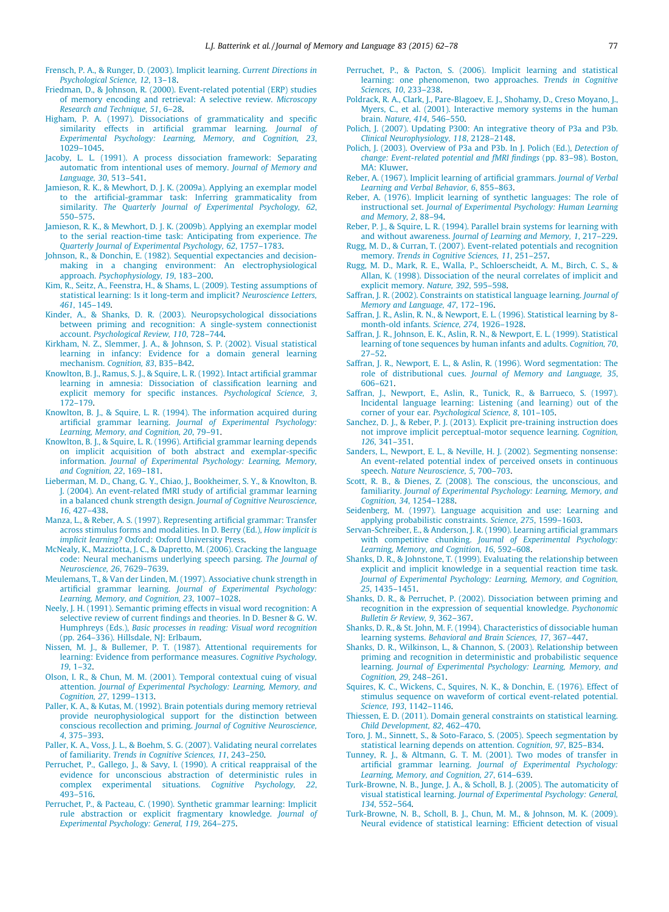- <span id="page-15-0"></span>[Frensch, P. A., & Runger, D. \(2003\). Implicit learning.](http://refhub.elsevier.com/S0749-596X(15)00057-1/h0105) Current Directions in [Psychological Science, 12](http://refhub.elsevier.com/S0749-596X(15)00057-1/h0105), 13–18.
- [Friedman, D., & Johnson, R. \(2000\). Event-related potential \(ERP\) studies](http://refhub.elsevier.com/S0749-596X(15)00057-1/h0110) [of memory encoding and retrieval: A selective review.](http://refhub.elsevier.com/S0749-596X(15)00057-1/h0110) Microscopy [Research and Technique, 51](http://refhub.elsevier.com/S0749-596X(15)00057-1/h0110), 6–28.
- [Higham, P. A. \(1997\). Dissociations of grammaticality and specific](http://refhub.elsevier.com/S0749-596X(15)00057-1/h0120) [similarity effects in artificial grammar learning.](http://refhub.elsevier.com/S0749-596X(15)00057-1/h0120) Journal of [Experimental Psychology: Learning, Memory, and Cognition, 23](http://refhub.elsevier.com/S0749-596X(15)00057-1/h0120), [1029–1045](http://refhub.elsevier.com/S0749-596X(15)00057-1/h0120).
- [Jacoby, L. L. \(1991\). A process dissociation framework: Separating](http://refhub.elsevier.com/S0749-596X(15)00057-1/h0125) [automatic from intentional uses of memory.](http://refhub.elsevier.com/S0749-596X(15)00057-1/h0125) Journal of Memory and [Language, 30](http://refhub.elsevier.com/S0749-596X(15)00057-1/h0125), 513–541.
- [Jamieson, R. K., & Mewhort, D. J. K. \(2009a\). Applying an exemplar model](http://refhub.elsevier.com/S0749-596X(15)00057-1/h0130) [to the artificial-grammar task: Inferring grammaticality from](http://refhub.elsevier.com/S0749-596X(15)00057-1/h0130) similarity. [The Quarterly Journal of Experimental Psychology, 62](http://refhub.elsevier.com/S0749-596X(15)00057-1/h0130), [550–575](http://refhub.elsevier.com/S0749-596X(15)00057-1/h0130).
- [Jamieson, R. K., & Mewhort, D. J. K. \(2009b\). Applying an exemplar model](http://refhub.elsevier.com/S0749-596X(15)00057-1/h0135) [to the serial reaction-time task: Anticipating from experience.](http://refhub.elsevier.com/S0749-596X(15)00057-1/h0135) The [Quarterly Journal of Experimental Psychology, 62](http://refhub.elsevier.com/S0749-596X(15)00057-1/h0135), 1757–1783.
- [Johnson, R., & Donchin, E. \(1982\). Sequential expectancies and decision](http://refhub.elsevier.com/S0749-596X(15)00057-1/h0140)[making in a changing environment: An electrophysiological](http://refhub.elsevier.com/S0749-596X(15)00057-1/h0140) approach. [Psychophysiology, 19](http://refhub.elsevier.com/S0749-596X(15)00057-1/h0140), 183–200.
- [Kim, R., Seitz, A., Feenstra, H., & Shams, L. \(2009\). Testing assumptions of](http://refhub.elsevier.com/S0749-596X(15)00057-1/h0145) [statistical learning: Is it long-term and implicit?](http://refhub.elsevier.com/S0749-596X(15)00057-1/h0145) Neuroscience Letters, 461[, 145–149.](http://refhub.elsevier.com/S0749-596X(15)00057-1/h0145)
- [Kinder, A., & Shanks, D. R. \(2003\). Neuropsychological dissociations](http://refhub.elsevier.com/S0749-596X(15)00057-1/h0150) [between priming and recognition: A single-system connectionist](http://refhub.elsevier.com/S0749-596X(15)00057-1/h0150) account. [Psychological Review, 110](http://refhub.elsevier.com/S0749-596X(15)00057-1/h0150), 728–744.
- [Kirkham, N. Z., Slemmer, J. A., & Johnson, S. P. \(2002\). Visual statistical](http://refhub.elsevier.com/S0749-596X(15)00057-1/h0155) [learning in infancy: Evidence for a domain general learning](http://refhub.elsevier.com/S0749-596X(15)00057-1/h0155) mechanism. [Cognition, 83](http://refhub.elsevier.com/S0749-596X(15)00057-1/h0155), B35–B42.
- [Knowlton, B. J., Ramus, S. J., & Squire, L. R. \(1992\). Intact artificial grammar](http://refhub.elsevier.com/S0749-596X(15)00057-1/h0160) [learning in amnesia: Dissociation of classification learning and](http://refhub.elsevier.com/S0749-596X(15)00057-1/h0160) [explicit memory for specific instances.](http://refhub.elsevier.com/S0749-596X(15)00057-1/h0160) Psychological Science, 3, [172–179.](http://refhub.elsevier.com/S0749-596X(15)00057-1/h0160)
- [Knowlton, B. J., & Squire, L. R. \(1994\). The information acquired during](http://refhub.elsevier.com/S0749-596X(15)00057-1/h0170) artificial grammar learning. [Journal of Experimental Psychology:](http://refhub.elsevier.com/S0749-596X(15)00057-1/h0170) [Learning, Memory, and Cognition, 20](http://refhub.elsevier.com/S0749-596X(15)00057-1/h0170), 79-91.
- [Knowlton, B. J., & Squire, L. R. \(1996\). Artificial grammar learning depends](http://refhub.elsevier.com/S0749-596X(15)00057-1/h0175) [on implicit acquisition of both abstract and exemplar-specific](http://refhub.elsevier.com/S0749-596X(15)00057-1/h0175) information. [Journal of Experimental Psychology: Learning, Memory,](http://refhub.elsevier.com/S0749-596X(15)00057-1/h0175) [and Cognition, 22](http://refhub.elsevier.com/S0749-596X(15)00057-1/h0175), 169–181.
- [Lieberman, M. D., Chang, G. Y., Chiao, J., Bookheimer, S. Y., & Knowlton, B.](http://refhub.elsevier.com/S0749-596X(15)00057-1/h0185) [J. \(2004\). An event-related fMRI study of artificial grammar learning](http://refhub.elsevier.com/S0749-596X(15)00057-1/h0185) [in a balanced chunk strength design.](http://refhub.elsevier.com/S0749-596X(15)00057-1/h0185) Journal of Cognitive Neuroscience, 16[, 427–438](http://refhub.elsevier.com/S0749-596X(15)00057-1/h0185).
- [Manza, L., & Reber, A. S. \(1997\). Representing artificial grammar: Transfer](http://refhub.elsevier.com/S0749-596X(15)00057-1/h0190) [across stimulus forms and modalities. In D. Berry \(Ed.\),](http://refhub.elsevier.com/S0749-596X(15)00057-1/h0190) How implicit is implicit learning? [Oxford: Oxford University Press.](http://refhub.elsevier.com/S0749-596X(15)00057-1/h0190)
- [McNealy, K., Mazziotta, J. C., & Dapretto, M. \(2006\). Cracking the language](http://refhub.elsevier.com/S0749-596X(15)00057-1/h0195) [code: Neural mechanisms underlying speech parsing.](http://refhub.elsevier.com/S0749-596X(15)00057-1/h0195) The Journal of [Neuroscience, 26](http://refhub.elsevier.com/S0749-596X(15)00057-1/h0195), 7629–7639.
- [Meulemans, T., & Van der Linden, M. \(1997\). Associative chunk strength in](http://refhub.elsevier.com/S0749-596X(15)00057-1/h0200) artificial grammar learning. [Journal of Experimental Psychology:](http://refhub.elsevier.com/S0749-596X(15)00057-1/h0200) [Learning, Memory, and Cognition, 23](http://refhub.elsevier.com/S0749-596X(15)00057-1/h0200), 1007–1028.
- [Neely, J. H. \(1991\). Semantic priming effects in visual word recognition: A](http://refhub.elsevier.com/S0749-596X(15)00057-1/h0205) [selective review of current findings and theories. In D. Besner & G. W.](http://refhub.elsevier.com/S0749-596X(15)00057-1/h0205) Humphreys (Eds.), [Basic processes in reading: Visual word recognition](http://refhub.elsevier.com/S0749-596X(15)00057-1/h0205) [\(pp. 264–336\). Hillsdale, NJ: Erlbaum](http://refhub.elsevier.com/S0749-596X(15)00057-1/h0205).
- [Nissen, M. J., & Bullemer, P. T. \(1987\). Attentional requirements for](http://refhub.elsevier.com/S0749-596X(15)00057-1/h0210) [learning: Evidence from performance measures.](http://refhub.elsevier.com/S0749-596X(15)00057-1/h0210) Cognitive Psychology, 19[, 1–32.](http://refhub.elsevier.com/S0749-596X(15)00057-1/h0210)
- [Olson, I. R., & Chun, M. M. \(2001\). Temporal contextual cuing of visual](http://refhub.elsevier.com/S0749-596X(15)00057-1/h0215) attention. [Journal of Experimental Psychology: Learning, Memory, and](http://refhub.elsevier.com/S0749-596X(15)00057-1/h0215) [Cognition, 27](http://refhub.elsevier.com/S0749-596X(15)00057-1/h0215), 1299–1313.
- [Paller, K. A., & Kutas, M. \(1992\). Brain potentials during memory retrieval](http://refhub.elsevier.com/S0749-596X(15)00057-1/h0220) [provide neurophysiological support for the distinction between](http://refhub.elsevier.com/S0749-596X(15)00057-1/h0220) [conscious recollection and priming.](http://refhub.elsevier.com/S0749-596X(15)00057-1/h0220) Journal of Cognitive Neuroscience, 4[, 375–393.](http://refhub.elsevier.com/S0749-596X(15)00057-1/h0220)
- [Paller, K. A., Voss, J. L., & Boehm, S. G. \(2007\). Validating neural correlates](http://refhub.elsevier.com/S0749-596X(15)00057-1/h0225) of familiarity. [Trends in Cognitive Sciences, 11](http://refhub.elsevier.com/S0749-596X(15)00057-1/h0225), 243–250.
- [Perruchet, P., Gallego, J., & Savy, I. \(1990\). A critical reappraisal of the](http://refhub.elsevier.com/S0749-596X(15)00057-1/h0230) [evidence for unconscious abstraction of deterministic rules in](http://refhub.elsevier.com/S0749-596X(15)00057-1/h0230) [complex experimental situations.](http://refhub.elsevier.com/S0749-596X(15)00057-1/h0230) Cognitive Psychology, 22, [493–516.](http://refhub.elsevier.com/S0749-596X(15)00057-1/h0230)
- [Perruchet, P., & Pacteau, C. \(1990\). Synthetic grammar learning: Implicit](http://refhub.elsevier.com/S0749-596X(15)00057-1/h0235) [rule abstraction or explicit fragmentary knowledge.](http://refhub.elsevier.com/S0749-596X(15)00057-1/h0235) Journal of [Experimental Psychology: General, 119](http://refhub.elsevier.com/S0749-596X(15)00057-1/h0235), 264–275.
- [Perruchet, P., & Pacton, S. \(2006\). Implicit learning and statistical](http://refhub.elsevier.com/S0749-596X(15)00057-1/h9010) [learning: one phenomenon, two approaches.](http://refhub.elsevier.com/S0749-596X(15)00057-1/h9010) Trends in Cognitive [Sciences, 10](http://refhub.elsevier.com/S0749-596X(15)00057-1/h9010), 233–238.
- [Poldrack, R. A., Clark, J., Pare-Blagoev, E. J., Shohamy, D., Creso Moyano, J.,](http://refhub.elsevier.com/S0749-596X(15)00057-1/h9015) [Myers, C., et al. \(2001\). Interactive memory systems in the human](http://refhub.elsevier.com/S0749-596X(15)00057-1/h9015) brain. [Nature, 414](http://refhub.elsevier.com/S0749-596X(15)00057-1/h9015), 546–550.
- [Polich, J. \(2007\). Updating P300: An integrative theory of P3a and P3b.](http://refhub.elsevier.com/S0749-596X(15)00057-1/h0240) [Clinical Neurophysiology, 118](http://refhub.elsevier.com/S0749-596X(15)00057-1/h0240), 2128–2148.
- [Polich, J. \(2003\). Overview of P3a and P3b. In J. Polich \(Ed.\),](http://refhub.elsevier.com/S0749-596X(15)00057-1/h0245) Detection of [change: Event-related potential and fMRI findings](http://refhub.elsevier.com/S0749-596X(15)00057-1/h0245) (pp. 83–98). Boston, [MA: Kluwer.](http://refhub.elsevier.com/S0749-596X(15)00057-1/h0245)
- [Reber, A. \(1967\). Implicit learning of artificial grammars.](http://refhub.elsevier.com/S0749-596X(15)00057-1/h0250) Journal of Verbal [Learning and Verbal Behavior, 6](http://refhub.elsevier.com/S0749-596X(15)00057-1/h0250), 855–863.
- [Reber, A. \(1976\). Implicit learning of synthetic languages: The role of](http://refhub.elsevier.com/S0749-596X(15)00057-1/h0255) instructional set. [Journal of Experimental Psychology: Human Learning](http://refhub.elsevier.com/S0749-596X(15)00057-1/h0255) [and Memory, 2](http://refhub.elsevier.com/S0749-596X(15)00057-1/h0255), 88–94.
- [Reber, P. J., & Squire, L. R. \(1994\). Parallel brain systems for learning with](http://refhub.elsevier.com/S0749-596X(15)00057-1/h0265) and without awareness. [Journal of Learning and Memory, 1](http://refhub.elsevier.com/S0749-596X(15)00057-1/h0265), 217–229.
- [Rugg, M. D., & Curran, T. \(2007\). Event-related potentials and recognition](http://refhub.elsevier.com/S0749-596X(15)00057-1/h0270) memory. [Trends in Cognitive Sciences, 11](http://refhub.elsevier.com/S0749-596X(15)00057-1/h0270), 251-257.
- [Rugg, M. D., Mark, R. E., Walla, P., Schloerscheidt, A. M., Birch, C. S., &](http://refhub.elsevier.com/S0749-596X(15)00057-1/h0275) [Allan, K. \(1998\). Dissociation of the neural correlates of implicit and](http://refhub.elsevier.com/S0749-596X(15)00057-1/h0275) [explicit memory.](http://refhub.elsevier.com/S0749-596X(15)00057-1/h0275) Nature, 392, 595–598.
- [Saffran, J. R. \(2002\). Constraints on statistical language learning.](http://refhub.elsevier.com/S0749-596X(15)00057-1/h0280) Journal of [Memory and Language, 47](http://refhub.elsevier.com/S0749-596X(15)00057-1/h0280), 172–196.
- [Saffran, J. R., Aslin, R. N., & Newport, E. L. \(1996\). Statistical learning by 8](http://refhub.elsevier.com/S0749-596X(15)00057-1/h0285) [month-old infants.](http://refhub.elsevier.com/S0749-596X(15)00057-1/h0285) Science, 274, 1926–1928.
- [Saffran, J. R., Johnson, E. K., Aslin, R. N., & Newport, E. L. \(1999\). Statistical](http://refhub.elsevier.com/S0749-596X(15)00057-1/h0290) [learning of tone sequences by human infants and adults.](http://refhub.elsevier.com/S0749-596X(15)00057-1/h0290) Cognition, 70, [27–52](http://refhub.elsevier.com/S0749-596X(15)00057-1/h0290).
- [Saffran, J. R., Newport, E. L., & Aslin, R. \(1996\). Word segmentation: The](http://refhub.elsevier.com/S0749-596X(15)00057-1/h0295) role of distributional cues. [Journal of Memory and Language, 35](http://refhub.elsevier.com/S0749-596X(15)00057-1/h0295), [606–621.](http://refhub.elsevier.com/S0749-596X(15)00057-1/h0295)
- [Saffran, J., Newport, E., Aslin, R., Tunick, R., & Barrueco, S. \(1997\).](http://refhub.elsevier.com/S0749-596X(15)00057-1/h0300) [Incidental language learning: Listening \(and learning\) out of the](http://refhub.elsevier.com/S0749-596X(15)00057-1/h0300) corner of your ear. [Psychological Science, 8](http://refhub.elsevier.com/S0749-596X(15)00057-1/h0300), 101–105.
- [Sanchez, D. J., & Reber, P. J. \(2013\). Explicit pre-training instruction does](http://refhub.elsevier.com/S0749-596X(15)00057-1/h0310) [not improve implicit perceptual-motor sequence learning.](http://refhub.elsevier.com/S0749-596X(15)00057-1/h0310) Cognition, 126[, 341–351](http://refhub.elsevier.com/S0749-596X(15)00057-1/h0310).
- [Sanders, L., Newport, E. L., & Neville, H. J. \(2002\). Segmenting nonsense:](http://refhub.elsevier.com/S0749-596X(15)00057-1/h0315) [An event-related potential index of perceived onsets in continuous](http://refhub.elsevier.com/S0749-596X(15)00057-1/h0315) speech. [Nature Neuroscience, 5](http://refhub.elsevier.com/S0749-596X(15)00057-1/h0315), 700–703.
- [Scott, R. B., & Dienes, Z. \(2008\). The conscious, the unconscious, and](http://refhub.elsevier.com/S0749-596X(15)00057-1/h0320) familiarity. [Journal of Experimental Psychology: Learning, Memory, and](http://refhub.elsevier.com/S0749-596X(15)00057-1/h0320) [Cognition, 34](http://refhub.elsevier.com/S0749-596X(15)00057-1/h0320), 1254–1288.
- [Seidenberg, M. \(1997\). Language acquisition and use: Learning and](http://refhub.elsevier.com/S0749-596X(15)00057-1/h0325) [applying probabilistic constraints.](http://refhub.elsevier.com/S0749-596X(15)00057-1/h0325) Science, 275, 1599–1603.
- [Servan-Schreiber, E., & Anderson, J. R. \(1990\). Learning artificial grammars](http://refhub.elsevier.com/S0749-596X(15)00057-1/h0330) with competitive chunking. [Journal of Experimental Psychology:](http://refhub.elsevier.com/S0749-596X(15)00057-1/h0330) [Learning, Memory, and Cognition, 16](http://refhub.elsevier.com/S0749-596X(15)00057-1/h0330), 592–608.
- [Shanks, D. R., & Johnstone, T. \(1999\). Evaluating the relationship between](http://refhub.elsevier.com/S0749-596X(15)00057-1/h0335) [explicit and implicit knowledge in a sequential reaction time task.](http://refhub.elsevier.com/S0749-596X(15)00057-1/h0335) [Journal of Experimental Psychology: Learning, Memory, and Cognition,](http://refhub.elsevier.com/S0749-596X(15)00057-1/h0335) 25[, 1435–1451](http://refhub.elsevier.com/S0749-596X(15)00057-1/h0335).
- [Shanks, D. R., & Perruchet, P. \(2002\). Dissociation between priming and](http://refhub.elsevier.com/S0749-596X(15)00057-1/h0340) [recognition in the expression of sequential knowledge.](http://refhub.elsevier.com/S0749-596X(15)00057-1/h0340) Psychonomic [Bulletin & Review, 9](http://refhub.elsevier.com/S0749-596X(15)00057-1/h0340), 362–367.
- [Shanks, D. R., & St. John, M. F. \(1994\). Characteristics of dissociable human](http://refhub.elsevier.com/S0749-596X(15)00057-1/h0345) learning systems. [Behavioral and Brain Sciences, 17](http://refhub.elsevier.com/S0749-596X(15)00057-1/h0345), 367–447.
- [Shanks, D. R., Wilkinson, L., & Channon, S. \(2003\). Relationship between](http://refhub.elsevier.com/S0749-596X(15)00057-1/h0350) [priming and recognition in deterministic and probabilistic sequence](http://refhub.elsevier.com/S0749-596X(15)00057-1/h0350) learning. [Journal of Experimental Psychology: Learning, Memory, and](http://refhub.elsevier.com/S0749-596X(15)00057-1/h0350) [Cognition, 29](http://refhub.elsevier.com/S0749-596X(15)00057-1/h0350), 248–261.
- [Squires, K. C., Wickens, C., Squires, N. K., & Donchin, E. \(1976\). Effect of](http://refhub.elsevier.com/S0749-596X(15)00057-1/h0365) [stimulus sequence on waveform of cortical event-related potential.](http://refhub.elsevier.com/S0749-596X(15)00057-1/h0365) Science, 193[, 1142–1146](http://refhub.elsevier.com/S0749-596X(15)00057-1/h0365).
- [Thiessen, E. D. \(2011\). Domain general constraints on statistical learning.](http://refhub.elsevier.com/S0749-596X(15)00057-1/h0370) [Child Development, 82](http://refhub.elsevier.com/S0749-596X(15)00057-1/h0370), 462–470.
- [Toro, J. M., Sinnett, S., & Soto-Faraco, S. \(2005\). Speech segmentation by](http://refhub.elsevier.com/S0749-596X(15)00057-1/h0375) [statistical learning depends on attention.](http://refhub.elsevier.com/S0749-596X(15)00057-1/h0375) Cognition, 97, B25–B34.
- [Tunney, R. J., & Altmann, G. T. M. \(2001\). Two modes of transfer in](http://refhub.elsevier.com/S0749-596X(15)00057-1/h0380) artificial grammar learning. [Journal of Experimental Psychology:](http://refhub.elsevier.com/S0749-596X(15)00057-1/h0380) [Learning, Memory, and Cognition, 27](http://refhub.elsevier.com/S0749-596X(15)00057-1/h0380), 614–639.
- [Turk-Browne, N. B., Junge, J. A., & Scholl, B. J. \(2005\). The automaticity of](http://refhub.elsevier.com/S0749-596X(15)00057-1/h0385) visual statistical learning. [Journal of Experimental Psychology: General,](http://refhub.elsevier.com/S0749-596X(15)00057-1/h0385) 134[, 552–564](http://refhub.elsevier.com/S0749-596X(15)00057-1/h0385).
- [Turk-Browne, N. B., Scholl, B. J., Chun, M. M., & Johnson, M. K. \(2009\).](http://refhub.elsevier.com/S0749-596X(15)00057-1/h0390) [Neural evidence of statistical learning: Efficient detection of visual](http://refhub.elsevier.com/S0749-596X(15)00057-1/h0390)